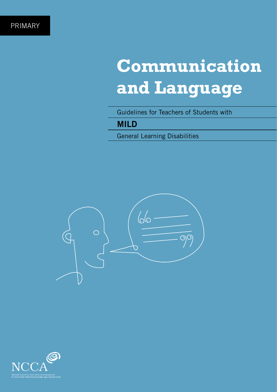# **Communication and Language**

Guidelines for Teachers of Students with

# **MILD**

General Learning Disabilities



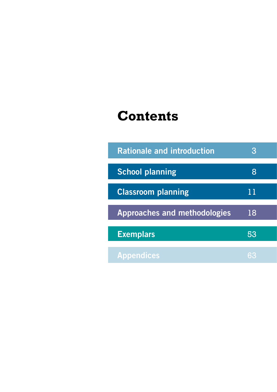# **Contents**

| <b>Rationale and introduction</b>   |    |  |
|-------------------------------------|----|--|
| <b>School planning</b>              | 8  |  |
| <b>Classroom planning</b>           | 11 |  |
| <b>Approaches and methodologies</b> | 18 |  |
| <b>Exemplars</b>                    | 53 |  |
| <b>Appendices</b>                   |    |  |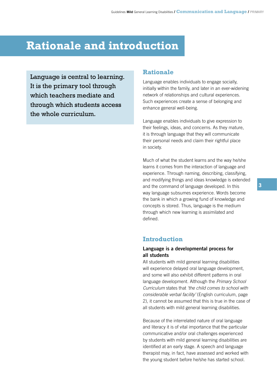# **Rationale and introduction**

Language is central to learning. It is the primary tool through which teachers mediate and through which students access the whole curriculum.

# **Rationale**

Language enables individuals to engage socially, initially within the family, and later in an ever-widening network of relationships and cultural experiences. Such experiences create a sense of belonging and enhance general well-being.

Language enables individuals to give expression to their feelings, ideas, and concerns. As they mature, it is through language that they will communicate their personal needs and claim their rightful place in society.

Much of what the student learns and the way he/she learns it comes from the interaction of language and experience. Through naming, describing, classifying, and modifying things and ideas knowledge is extended and the command of language developed. In this way language subsumes experience. Words become the bank in which a growing fund of knowledge and concepts is stored. Thus, language is the medium through which new learning is assimilated and defined.

# **Introduction**

### **Language is a developmental process for all students**

All students with mild general learning disabilities will experience delayed oral language development, and some will also exhibit different patterns in oral language development. Although the *Primary School Curriculum* states that *'the child comes to school with considerable verbal facility'* (English curriculum, page 2), it cannot be assumed that this is true in the case of all students with mild general learning disabilities.

Because of the interrelated nature of oral language and literacy it is of vital importance that the particular communicative and/or oral challenges experienced by students with mild general learning disabilities are identified at an early stage. A speech and language therapist may, in fact, have assessed and worked with the young student before he/she has started school.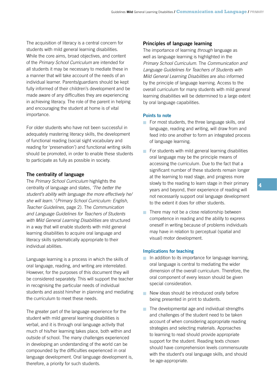The acquisition of literacy is a central concern for students with mild general learning disabilities. While the core aims, broad objectives, and content of the *Primary School Curriculum* are intended for all students it may be necessary to mediate these in a manner that will take account of the needs of an individual learner. Parents/guardians should be kept fully informed of their children's development and be made aware of any difficulties they are experiencing in achieving literacy. The role of the parent in helping and encouraging the student at home is of vital importance.

For older students who have not been successful in adequately mastering literacy skills, the development of functional reading (social sight vocabulary and reading for 'preservation') and functional writing skills should be promoted, in order to enable these students to participate as fully as possible in society.

#### **The centrality of language**

The *Primary School Curriculum* highlights the centrality of language and states, *'The better the student's ability with language the more effectively he/ she will learn.'* (*Primary School Curriculum: English, Teacher Guidelines*, page 2). The *Communication and Language Guidelines for Teachers of Students with Mild General Learning Disabilities* are structured in a way that will enable students with mild general learning disabilities to acquire oral language and literacy skills systematically appropriate to their individual abilities.

Language learning is a process in which the skills of oral language, reading, and writing are interrelated. However, for the purposes of this document they will be considered separately. This will support the teacher in recognising the particular needs of individual students and assist him/her in planning and mediating the curriculum to meet these needs.

The greater part of the language experience for the student with mild general learning disabilities is verbal, and it is through oral language activity that much of his/her learning takes place, both within and outside of school. The many challenges experienced in developing an understanding of the world can be compounded by the difficulties experienced in oral language development. Oral language development is, therefore, a priority for such students.

#### **Principles of language learning**

The importance of learning *through* language as well as language learning is highlighted in the *Primary School Curriculum*. The *Communication and Language Guidelines for Teachers of Students with Mild General Learning Disabilities* are also informed by the principle of language learning. Access to the overall curriculum for many students with mild general learning disabilities will be determined to a large extent by oral language capabilities.

#### **Points to note**

- For most students, the three language skills, oral language, reading and writing, will draw from and feed into one another to form an integrated process of language learning.
- $\blacksquare$  For students with mild general learning disabilities oral language may be the principle means of accessing the curriculum. Due to the fact that a significant number of these students remain longer at the learning to read stage, and progress more slowly to the reading to learn stage in their primary years and beyond, their experience of reading will not necessarily support oral language development to the extent it does for other students.
- $\blacksquare$  There may not be a close relationship between competence in reading and the ability to express oneself in writing because of problems individuals may have in relation to perceptual (spatial and visual) motor development.

#### **Implications for teaching**

- $\blacksquare$  In addition to its importance for language learning, oral language is central to mediating the wider dimension of the overall curriculum. Therefore, the oral component of every lesson should be given special consideration.
- New ideas should be introduced orally before being presented in print to students.
- $\blacksquare$  The developmental age and individual strengths and challenges of the student need to be taken account of when considering appropriate reading strategies and selecting materials. Approaches to learning to read should provide appropriate support for the student. Reading texts chosen should have comprehension levels commensurate with the student's oral language skills, and should be age-appropriate.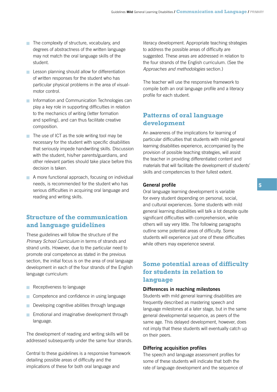- The complexity of structure, vocabulary, and degrees of abstractness of the written language may not match the oral language skills of the student.
- **Extending** Should allow for differentiation of written responses for the student who has particular physical problems in the area of visualmotor control.
- **n** Information and Communication Technologies can play a key role in supporting difficulties in relation to the mechanics of writing (letter formation and spelling), and can thus facilitate creative composition.
- $\blacksquare$  The use of ICT as the sole writing tool may be necessary for the student with specific disabilities that seriously impede handwriting skills. Discussion with the student, his/her parents/guardians, and other relevant parties should take place before this decision is taken.
- A more functional approach, focusing on individual needs, is recommended for the student who has serious difficulties in acquiring oral language and reading and writing skills.

# **Structure of the communication and language guidelines**

These guidelines will follow the structure of the *Primary School Curriculum* in terms of strands and strand units. However, due to the particular need to promote oral competence as stated in the previous section, the initial focus is on the area of oral language development in each of the four strands of the English language curriculum:

- **Receptiveness to language**
- **Competence and confidence in using language**
- **Developing cognitive abilities through language**
- **Emotional and imaginative development through** language.

The development of reading and writing skills will be addressed subsequently under the same four strands.

Central to these guidelines is a responsive framework detailing possible areas of difficulty and the implications of these for both oral language and

literacy development. Appropriate teaching strategies to address the possible areas of difficulty are suggested. These areas are addressed in relation to the four strands of the English curriculum. (See the *Approaches and methodologies* section.)

The teacher will use the responsive framework to compile both an oral language profile and a literacy profile for each student.

# **Patterns of oral language development**

An awareness of the implications for learning of particular difficulties that students with mild general learning disabilities experience, accompanied by the provision of possible teaching strategies, will assist the teacher in providing differentiated content and materials that will facilitate the development of students' skills and competencies to their fullest extent.

#### **General profile**

Oral language learning development is variable for every student depending on personal, social, and cultural experiences. Some students with mild general learning disabilities will talk a lot despite quite significant difficulties with comprehension, while others will say very little. The following paragraphs outline some potential areas of difficulty. Some students will experience just one of these difficulties while others may experience several.

# **Some potential areas of difficulty for students in relation to language**

#### **Differences in reaching milestones**

Students with mild general learning disabilities are frequently described as mastering speech and language milestones at a later stage, but in the same general developmental sequence, as peers of the same age. This delayed development, however, does not imply that these students will eventually catch up on their peers.

#### **Differing acquisition profiles**

The speech and language assessment profiles for some of these students will indicate that both the rate of language development and the sequence of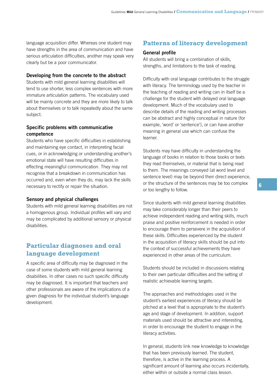language acquisition differ. Whereas one student may have strengths in the area of communication and have serious articulation difficulties, another may speak very clearly but be a poor communicator.

#### **Developing from the concrete to the abstract**

Students with mild general learning disabilities will tend to use shorter, less complex sentences with more immature articulation patterns. The vocabulary used will be mainly concrete and they are more likely to talk about themselves or to talk repeatedly about the same subject.

### **Specific problems with communicative competence**

Students who have specific difficulties in establishing and maintaining eye contact, in interpreting facial cues, or in acknowledging or understanding another's emotional state will have resulting difficulties in effecting meaningful communication. They may not recognise that a breakdown in communication has occurred and, even when they do, may lack the skills necessary to rectify or repair the situation.

#### **Sensory and physical challenges**

Students with mild general learning disabilities are not a homogenous group. Individual profiles will vary and may be complicated by additional sensory or physical disabilities.

# **Particular diagnoses and oral language development**

A specific area of difficulty may be diagnosed in the case of some students with mild general learning disabilities. In other cases no such specific difficulty may be diagnosed. It is important that teachers and other professionals are aware of the implications of a given diagnosis for the individual student's language development.

## **Patterns of literacy development**

#### **General profile**

All students will bring a combination of skills, strengths, and limitations to the task of reading.

Difficulty with oral language contributes to the struggle with literacy. The terminology used by the teacher in the teaching of reading and writing can in itself be a challenge for the student with delayed oral language development. Much of the vocabulary used to describe details of the reading and writing processes can be abstract and highly conceptual in nature (for example, 'word' or 'sentence'), or can have another meaning in general use which can confuse the learner.

Students may have difficulty in understanding the language of books in relation to those books or texts they read themselves, or material that is being read to them. The meanings conveyed (at word level and sentence level) may be beyond their direct experience, or the structure of the sentences may be too complex or too lengthy to follow.

Since students with mild general learning disabilities may take considerably longer than their peers to achieve independent reading and writing skills, much praise and positive reinforcement is needed in order to encourage them to persevere in the acquisition of these skills. Difficulties experienced by the student in the acquisition of literacy skills should be put into the context of successful achievements they have experienced in other areas of the curriculum.

Students should be included in discussions relating to their own particular difficulties and the setting of realistic achievable learning targets.

The approaches and methodologies used in the student's earliest experiences of literacy should be pitched at a level that is appropriate to the student's age and stage of development. In addition, support materials used should be attractive and interesting, in order to encourage the student to engage in the literacy activities.

In general, students link new knowledge to knowledge that has been previously learned. The student, therefore, is active in the learning process. A significant amount of learning also occurs incidentally, either within or outside a normal class lesson.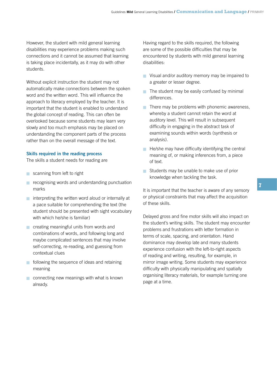However, the student with mild general learning disabilities may experience problems making such connections and it cannot be assumed that learning is taking place incidentally, as it may do with other students.

Without explicit instruction the student may not automatically make connections between the spoken word and the written word. This will influence the approach to literacy employed by the teacher. It is important that the student is enabled to understand the global concept of reading. This can often be overlooked because some students may learn very slowly and too much emphasis may be placed on understanding the component parts of the process rather than on the overall message of the text.

#### **Skills required in the reading process**

The skills a student needs for reading are

- scanning from left to right
- **Exerc** recognising words and understanding punctuation marks
- $\blacksquare$  interpreting the written word aloud or internally at a pace suitable for comprehending the text (the student should be presented with sight vocabulary with which he/she is familiar)
- **n** creating meaningful units from words and combinations of words, and following long and maybe complicated sentences that may involve self-correcting, re-reading, and guessing from contextual clues
- **n** following the sequence of ideas and retaining meaning
- $\blacksquare$  connecting new meanings with what is known already.

Having regard to the skills required, the following are some of the possible difficulties that may be encountered by students with mild general learning disabilities:

- **Nisual and/or auditory memory may be impaired to** a greater or lesser degree.
- $\blacksquare$  The student may be easily confused by minimal differences.
- $\blacksquare$  There may be problems with phonemic awareness, whereby a student cannot retain the word at auditory level. This will result in subsequent difficulty in engaging in the abstract task of examining sounds within words (synthesis or analysis).
- $\blacksquare$  He/she may have difficulty identifying the central meaning of, or making inferences from, a piece of text.
- Students may be unable to make use of prior knowledge when tackling the task.

It is important that the teacher is aware of any sensory or physical constraints that may affect the acquisition of these skills.

Delayed gross and fine motor skills will also impact on the student's writing skills. The student may encounter problems and frustrations with letter formation in terms of scale, spacing, and orientation. Hand dominance may develop late and many students experience confusion with the left-to-right aspects of reading and writing, resulting, for example, in mirror image writing. Some students may experience difficulty with physically manipulating and spatially organising literacy materials, for example turning one page at a time.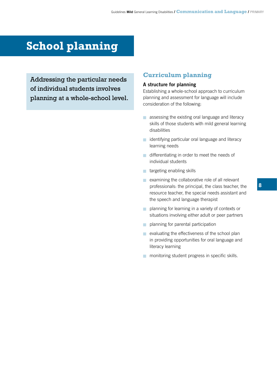# **School planning**

Addressing the particular needs of individual students involves planning at a whole-school level.

# **Curriculum planning**

### **A structure for planning**

Establishing a whole-school approach to curriculum planning and assessment for language will include consideration of the following:

- **a** assessing the existing oral language and literacy skills of those students with mild general learning disabilities
- **n** identifying particular oral language and literacy learning needs
- $\blacksquare$  differentiating in order to meet the needs of individual students
- **n** targeting enabling skills
- $\blacksquare$  examining the collaborative role of all relevant professionals: the principal, the class teacher, the resource teacher, the special needs assistant and the speech and language therapist
- $\blacksquare$  planning for learning in a variety of contexts or situations involving either adult or peer partners
- planning for parental participation
- $\blacksquare$  evaluating the effectiveness of the school plan in providing opportunities for oral language and literacy learning
- **n** monitoring student progress in specific skills.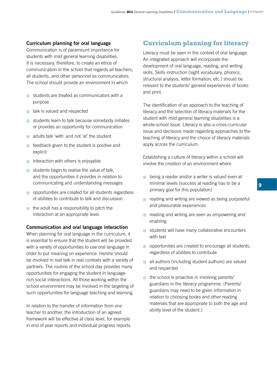# **Curriculum planning for oral language**

Communication is of paramount importance for students with mild general learning disabilities. It is necessary, therefore, to create an ethos of communication in the school that regards all teachers, all students, and other personnel as communicators. The school should provide an environment in which

- $\blacksquare$  students are treated as communicators with a purpose
- a talk is valued and respected
- students learn to talk because somebody initiates or provides an opportunity for communication
- adults talk 'with' and not 'at' the student
- $\blacksquare$  feedback given to the student is positive and explicit
- $\blacksquare$  interaction with others is enjoyable
- students begin to realise the value of talk, and the opportunities it provides in relation to communicating and understanding messages
- **p** opportunities are created for all students regardless of abilities to contribute to talk and discussion
- $\blacksquare$  the adult has a responsibility to pitch the interaction at an appropriate level.

#### **Communication and oral language interaction**

When planning for oral language in the curriculum, it is essential to ensure that the student will be provided with a variety of opportunities to use oral language in order to put meaning on experience. He/she should be involved in real talk in real contexts with a variety of partners. The routine of the school day provides many opportunities for engaging the student in languagerich social interactions. All those working within the school environment may be involved in the targeting of such opportunities for language teaching and learning.

In relation to the transfer of information from one teacher to another, the introduction of an agreed framework will be effective at class level, for example in end of year reports and individual progress reports.

# **Curriculum planning for literacy**

Literacy must be seen in the context of oral language. An integrated approach will incorporate the development of oral language, reading, and writing skills. Skills instruction (sight vocabulary, phonics, structural analysis, letter formation, etc.) should be relevant to the students' general experiences of books and print.

The identification of an approach to the teaching of literacy and the selection of literacy materials for the student with mild general learning disabilities is a whole-school issue. Literacy is also a cross-curricular issue and decisions made regarding approaches to the teaching of literacy and the choice of literacy materials apply across the curriculum.

Establishing a culture of literacy within a school will involve the creation of an environment where

- being a reader and/or a writer is valued even at minimal levels (success at reading has to be a primary goal for this population)
- reading and writing are viewed as being purposeful and pleasurable experiences
- starped reading and writing are seen as empowering and enabling
- students will have many collaborative encounters with text
- **proportunities are created to encourage all students,** regardless of abilities to contribute
- $\blacksquare$  all authors (including student authors) are valued and respected
- $\blacksquare$  the school is proactive in involving parents/ guardians in the literacy programme. (Parents/ guardians may need to be given information in relation to choosing books and other reading materials that are appropriate to both the age and ability level of the student.)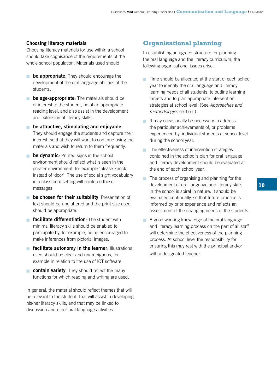### **Choosing literacy materials**

Choosing literacy materials for use within a school should take cognisance of the requirements of the whole school population. Materials used should

- **be appropriate**: They should encourage the development of the oral language abilities of the students.
- **be age-appropriate**: The materials should be of interest to the student, be of an appropriate reading level, and also assist in the development and extension of literacy skills.
- **n** be attractive, stimulating and enjoyable: They should engage the students and capture their interest, so that they will want to continue using the materials and wish to return to them frequently.
- **be dynamic**: Printed signs in the school environment should reflect what is seen in the greater environment, for example 'please knock' instead of 'door'. The use of social sight vocabulary in a classroom setting will reinforce these messages. n
- **be chosen for their suitability**: Presentation of text should be uncluttered and the print size used should be appropriate.
- **Facilitate differentiation**: The student with minimal literacy skills should be enabled to participate by, for example, being encouraged to make inferences from pictorial images.
- **Facilitate autonomy in the learner: Illustrations** used should be clear and unambiguous, for example in relation to the use of ICT software.
- **contain variety**: They should reflect the many functions for which reading and writing are used.

In general, the material should reflect themes that will be relevant to the student, that will assist in developing his/her literacy skills, and that may be linked to discussion and other oral language activities.

# **Organisational planning**

In establishing an agreed structure for planning the oral language and the literacy curriculum, the following organisational issues arise:

- $\blacksquare$  Time should be allocated at the start of each school year to identify the oral language and literacy learning needs of all students, to outline learning targets and to plan appropriate intervention strategies at school level. (See *Approaches and methodologies* section.)
- $\blacksquare$  It may occasionally be necessary to address the particular achievements of, or problems experienced by, individual students at school level during the school year.
- $\blacksquare$  The effectiveness of intervention strategies contained in the school's plan for oral language and literacy development should be evaluated at the end of each school year.
- $\blacksquare$  The process of organising and planning for the development of oral language and literacy skills in the school is spiral in nature. It should be evaluated continually, so that future practice is informed by prior experience and reflects an assessment of the changing needs of the students.
- A good working knowledge of the oral language and literacy learning process on the part of all staff will determine the effectiveness of the planning process. At school level the responsibility for ensuring this may rest with the principal and/or with a designated teacher.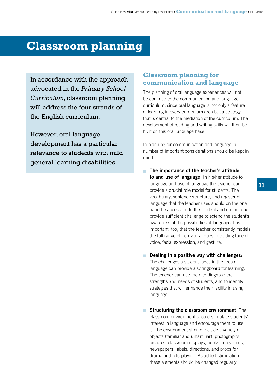# **Classroom planning**

In accordance with the approach advocated in the *Primary School Curriculum*, classroom planning will address the four strands of the English curriculum.

However, oral language development has a particular relevance to students with mild general learning disabilities.

# **Classroom planning for communication and language**

The planning of oral language experiences will not be confined to the communication and language curriculum, since oral language is not only a feature of learning in every curriculum area but a strategy that is central to the mediation of the curriculum. The development of reading and writing skills will then be built on this oral language base.

In planning for communication and language, a number of important considerations should be kept in mind:

- **The importance of the teacher's attitude to and use of language:** In his/her attitude to language and use of language the teacher can provide a crucial role model for students. The vocabulary, sentence structure, and register of language that the teacher uses should on the one hand be accessible to the student and on the other provide sufficient challenge to extend the student's awareness of the possibilities of language. It is important, too, that the teacher consistently models the full range of non-verbal cues, including tone of voice, facial expression, and gesture.
- **n** Dealing in a positive way with challenges: The challenges a student faces in the area of language can provide a springboard for learning. The teacher can use them to diagnose the strengths and needs of students, and to identify strategies that will enhance their facility in using language.
- **Structuring the classroom environment:** The classroom environment should stimulate students' interest in language and encourage them to use it. The environment should include a variety of objects (familiar and unfamiliar), photographs, pictures, classroom displays, books, magazines, newspapers, labels, directions, and props for drama and role-playing. As added stimulation these elements should be changed regularly.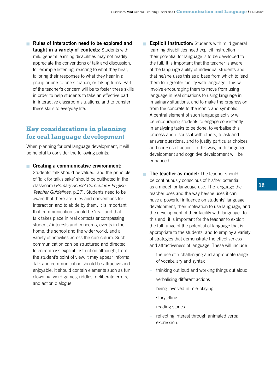**Rules of interaction need to be explored and taught in a variety of contexts:** Students with mild general learning disabilities may not readily appreciate the conventions of talk and discussion, for example listening, reacting to what they hear, tailoring their responses to what they hear in a group or one-to-one situation, or taking turns. Part of the teacher's concern will be to foster these skills in order to help students to take an effective part in interactive classroom situations, and to transfer these skills to everyday life.

# **Key considerations in planning for oral language development**

When planning for oral language development, it will be helpful to consider the following points:

#### **n** Creating a communicative environment:

Students' talk should be valued, and the principle of 'talk for talk's sake' should be cultivated in the classroom (*Primary School Curriculum: English, Teacher Guidelines*, p.27). Students need to be aware that there are rules and conventions for interaction and to abide by them. It is important that communication should be 'real' and that talk takes place in real contexts encompassing students' interests and concerns, events in the home, the school and the wider world, and a variety of activities across the curriculum. Such communication can be structured and directed to encompass explicit instruction although, from the student's point of view, it may appear informal. Talk and communication should be attractive and enjoyable. It should contain elements such as fun, clowning, word games, riddles, deliberate errors, and action dialogue.

- **Explicit instruction:** Students with mild general learning disabilities need explicit instruction if their potential for language is to be developed to the full. It is important that the teacher is aware of the language ability of individual students and that he/she uses this as a base from which to lead them to a greater facility with language. This will involve encouraging them to move from using language in real situations to using language in imaginary situations, and to make the progression from the concrete to the iconic and symbolic. A central element of such language activity will be encouraging students to engage consistently in analysing tasks to be done, to verbalise this process and discuss it with others, to ask and answer questions, and to justify particular choices and courses of action. In this way, both language development and cognitive development will be enhanced.
- **The teacher as model:** The teacher should be continuously conscious of his/her potential as a model for language use. The language the teacher uses and the way he/she uses it can have a powerful influence on students' language development, their motivation to use language, and the development of their facility with language. To this end, it is important for the teacher to exploit the full range of the potential of language that is appropriate to the students, and to employ a variety of strategies that demonstrate the effectiveness and attractiveness of language. These will include
	- the use of a challenging and appropriate range of vocabulary and syntax
	- thinking out loud and working things out aloud
	- verbalising different actions
	- being involved in role-playing
	- storytelling
	- reading stories
	- reflecting interest through animated verbal expression.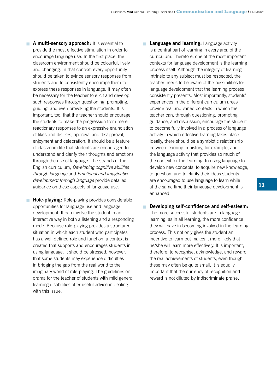**A multi-sensory approach:** It is essential to provide the most effective stimulation in order to encourage language use. In the first place, the classroom environment should be colourful, lively and changing. In that context, every opportunity should be taken to evince sensory responses from students and to consistently encourage them to express these responses in language. It may often be necessary for the teacher to elicit and develop such responses through questioning, prompting, guiding, and even provoking the students. It is important, too, that the teacher should encourage the students to make the progression from mere reactionary responses to an expressive enunciation of likes and dislikes, approval and disapproval, enjoyment and celebration. It should be a feature of classroom life that students are encouraged to understand and clarify their thoughts and emotions through the use of language. The strands of the English curriculum, *Developing cognitive abilities through language* and *Emotional and imaginative development through language* provide detailed guidance on these aspects of language use.

**Role-playing:** Role-playing provides considerable opportunities for language use and language development. It can involve the student in an interactive way in both a listening and a responding mode. Because role-playing provides a structured situation in which each student who participates has a well-defined role and function, a context is created that supports and encourages students in using language. It should be stressed, however, that some students may experience difficulties in bridging the gap from the real world to the imaginary world of role-playing. The guidelines on drama for the teacher of students with mild general learning disabilities offer useful advice in dealing with this issue.

**Language and learning:** Language activity is a central part of learning in every area of the curriculum. Therefore, one of the most important contexts for language development is the learning process itself. Although the integrity of learning intrinsic to any subject must be respected, the teacher needs to be aware of the possibilities for language development that the learning process consistently presents. Most importantly, students' experiences in the different curriculum areas provide real and varied contexts in which the teacher can, through questioning, prompting, guidance, and discussion, encourage the student to become fully involved in a process of language activity in which effective learning takes place. Ideally, there should be a symbiotic relationship between learning in history, for example, and the language activity that provides so much of the context for the learning. In using language to develop new concepts, to acquire new knowledge, to question, and to clarify their ideas students are encouraged to use language to learn while at the same time their language development is enhanced.

#### **n** Developing self-confidence and self-esteem:

The more successful students are in language learning, as in all learning, the more confidence they will have in becoming involved in the learning process. This not only gives the student an incentive to learn but makes it more likely that he/she will learn more effectively. It is important, therefore, to recognise, acknowledge, and reward the real achievements of students, even though these may often be quite small. It is equally important that the currency of recognition and reward is not diluted by indiscriminate praise.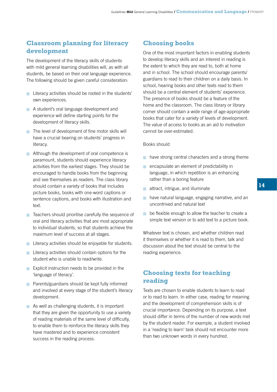# **Classroom planning for literacy development**

The development of the literacy skills of students with mild general learning disabilities will, as with all students, be based on their oral language experience. The following should be given careful consideration:

- **Example 2** Literacy activities should be rooted in the students' own experiences.
- A student's oral language development and experience will define starting points for the development of literacy skills.
- The level of development of fine motor skills will have a crucial bearing on students' progress in literacy.
- **Although the development of oral competence is** paramount, students should experience literacy activities from the earliest stages. They should be encouraged to handle books from the beginning and see themselves as readers. The class library should contain a variety of books that includes picture books, books with one-word captions or sentence captions, and books with illustration and text.
- $\blacksquare$  Teachers should prioritise carefully the sequence of oral and literacy activities that are most appropriate to individual students, so that students achieve the maximum level of success at all stages.
- **Literacy activities should be enjoyable for students.**
- $\blacksquare$  Literacy activities should contain options for the student who is unable to read/write.
- $\blacksquare$  Explicit instruction needs to be provided in the 'language of literacy'.
- **Parents/guardians should be kept fully informed** and involved at every stage of the student's literacy development.
- $\blacksquare$  As well as challenging students, it is important that they are given the opportunity to use a variety of reading materials of the same level of difficulty, to enable them to reinforce the literacy skills they have mastered and to experience consistent success in the reading process.

# **Choosing books**

One of the most important factors in enabling students to develop literacy skills and an interest in reading is the extent to which they are read to, both at home and in school. The school should encourage parents/ guardians to read to their children on a daily basis. In school, hearing books and other texts read to them should be a central element of students' experience. The presence of books should be a feature of the home and the classroom. The class library or library corner should contain a wide range of age-appropriate books that cater for a variety of levels of development. The value of access to books as an aid to motivation cannot be over-estimated.

#### Books should

- **have strong central characters and a strong theme**
- $\blacksquare$  encapsulate an element of predictability in language, in which repetition is an enhancing rather than a boring feature
- **n** attract, intrigue, and illuminate
- **have natural language, engaging narrative, and an** uncontrived and natural text
- $\blacksquare$  be flexible enough to allow the teacher to create a simple text version or to add text to a picture book.

Whatever text is chosen, and whether children read it themselves or whether it is read to them, talk and discussion about the text should be central to the reading experience.

# **Choosing texts for teaching reading**

Texts are chosen to enable students to learn to read or to read to learn. In either case, reading for meaning and the development of comprehension skills is of crucial importance. Depending on its purpose, a text should differ in terms of the number of new words met by the student reader. For example, a student involved in a 'reading to learn' task should not encounter more than two unknown words in every hundred.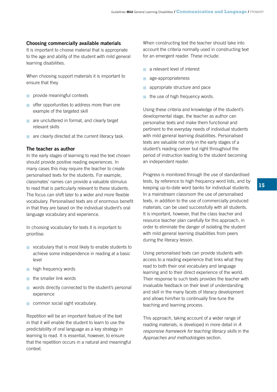### **Choosing commercially available materials**

It is important to choose material that is appropriate to the age and ability of the student with mild general learning disabilities.

When choosing support materials it is important to ensure that they

- **n** provide meaningful contexts
- $\blacksquare$  offer opportunities to address more than one example of the targeted skill
- are uncluttered in format, and clearly target relevant skills
- are clearly directed at the current literacy task.

#### **The teacher as author**

In the early stages of learning to read the text chosen should provide positive reading experiences. In many cases this may require the teacher to create personalised texts for the students. For example, classmates' names can provide a valuable stimulus to read that is particularly relevant to these students. The focus can shift later to a wider and more flexible vocabulary. Personalised texts are of enormous benefit in that they are based on the individual student's oral language vocabulary and experience.

In choosing vocabulary for texts it is important to prioritise:

- vocabulary that is most likely to enable students to achieve some independence in reading at a basic level
- **n** high frequency words
- **the smaller link words**
- **Notable 20 is verify words directly connected to the student's personal** experience
- **n** common social sight vocabulary.

Repetition will be an important feature of the text in that it will enable the student to learn to use the predictability of oral language as a key strategy in learning to read. It is essential, however, to ensure that the repetition occurs in a natural and meaningful context.

When constructing text the teacher should take into account the criteria normally used in constructing text for an emergent reader. These include:

- a relevant level of interest
- age-appropriateness n
- appropriate structure and pace n
- $\blacksquare$  the use of high frequency words.

Using these criteria and knowledge of the student's developmental stage, the teacher as author can personalise texts and make them functional and pertinent to the everyday needs of individual students with mild general learning disabilities. Personalised texts are valuable not only in the early stages of a student's reading career but right throughout the period of instruction leading to the student becoming an independent reader.

Progress is monitored through the use of standardised tests, by reference to high frequency word lists, and by keeping up-to-date word banks for individual students. In a mainstream classroom the use of personalised texts, in addition to the use of commercially produced materials, can be used successfully with all students. It is important, however, that the class teacher and resource teacher plan carefully for this approach, in order to eliminate the danger of isolating the student with mild general learning disabilities from peers during the literacy lesson.

Using personalised texts can provide students with access to a reading experience that links what they read to both their oral vocabulary and language learning and to their direct experience of the world. Their response to such texts provides the teacher with invaluable feedback on their level of understanding and skill in the many facets of literacy development and allows him/her to continually fine-tune the teaching and learning process.

This approach, taking account of a wider range of reading materials, is developed in more detail in *A responsive framework for teaching literacy skills* in the *Approaches and methodologies* section.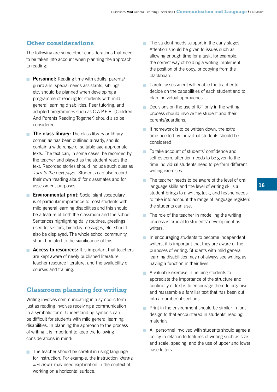# **Other considerations**

The following are some other considerations that need to be taken into account when planning the approach to reading:

- **Personnel:** Reading time with adults, parents/ guardians, special needs assistants, siblings, etc. should be planned when developing a programme of reading for students with mild general learning disabilities. Peer tutoring, and adapted programmes such as C.A.P.E.R. (Children And Parents Reading Together) should also be considered.
- **The class library:** The class library or library corner, as has been outlined already, should contain a wide range of suitable age-appropriate texts. The text can, in some cases, be recorded by the teacher and played as the student reads the text. Recorded stories should include such cues as *'turn to the next page'*. Students can also record their own 'reading aloud' for classmates and for assessment purposes.
- **Environmental print:** Social sight vocabulary is of particular importance to most students with mild general learning disabilities and this should be a feature of both the classroom and the school. Sentences highlighting daily routines, greetings used for visitors, birthday messages, etc. should also be displayed. The whole school community should be alert to the significance of this.
- **Access to resources:** It is important that teachers are kept aware of newly published literature, teacher resource literature, and the availability of courses and training.

# **Classroom planning for writing**

Writing involves communicating in a symbolic form just as reading involves receiving a communication in a symbolic form. Understanding symbols can be difficult for students with mild general learning disabilities. In planning the approach to the process of writing it is important to keep the following considerations in mind:

 $\blacksquare$  The teacher should be careful in using language for instruction. For example, the instruction *'draw a line down'* may need explanation in the context of working on a horizontal surface.

- $\blacksquare$  The student needs support in the early stages. Attention should be given to issues such as allowing enough time for a task, for example, the correct way of holding a writing implement, the position of the copy, or copying from the blackboard.
- **Careful assessment will enable the teacher to** decide on the capabilities of each student and to plan individual approaches.
- $\blacksquare$  Decisions on the use of ICT only in the writing process should involve the student and their parents/guardians.
- If homework is to be written down, the extra time needed by individual students should be considered.
- To take account of students' confidence and self-esteem, attention needs to be given to the time individual students need to perform different writing exercises.
- $\blacksquare$  The teacher needs to be aware of the level of oral language skills and the level of writing skills a student brings to a writing task, and he/she needs to take into account the range of language registers the students can use.
- $\blacksquare$  The role of the teacher in modelling the writing process is crucial to students' development as writers.
- In encouraging students to become independent writers, it is important that they are aware of the purposes of writing. Students with mild general learning disabilities may not always see writing as having a function in their lives.
- $\blacksquare$  A valuable exercise in helping students to appreciate the importance of the structure and continuity of text is to encourage them to organise and reassemble a familiar text that has been cut into a number of sections.
- $\blacksquare$  Print in the environment should be similar in font design to that encountered in students' reading materials.
- All personnel involved with students should agree a policy in relation to features of writing such as size and scale, spacing, and the use of upper and lower case letters.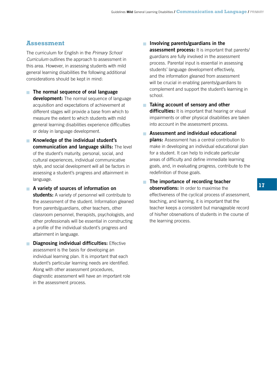# **Assessment**

The curriculum for English in the *Primary School Curriculum* outlines the approach to assessment in this area. However, in assessing students with mild general learning disabilities the following additional considerations should be kept in mind:

- **The normal sequence of oral language development:** The normal sequence of language acquisition and expectations of achievement at different stages will provide a base from which to measure the extent to which students with mild general learning disabilities experience difficulties or delay in language development.
- **K** Knowledge of the individual student's **communication and language skills:** The level of the student's maturity, personal, social, and cultural experiences, individual communicative style, and social development will all be factors in assessing a student's progress and attainment in language.
- **A** variety of sources of information on **students:** A variety of personnel will contribute to the assessment of the student. Information gleaned from parents/guardians, other teachers, other classroom personnel, therapists, psychologists, and other professionals will be essential in constructing a profile of the individual student's progress and attainment in language.
- **Diagnosing individual difficulties:** Effective assessment is the basis for developing an individual learning plan. It is important that each student's particular learning needs are identified. Along with other assessment procedures, diagnostic assessment will have an important role in the assessment process.
- **Involving parents/guardians in the assessment process:** It is important that parents/ guardians are fully involved in the assessment process. Parental input is essential in assessing students' language development effectively, and the information gleaned from assessment will be crucial in enabling parents/guardians to complement and support the student's learning in school.
- **Taking account of sensory and other difficulties:** It is important that hearing or visual impairments or other physical disabilities are taken into account in the assessment process.
- **Assessment and individual educational plans:** Assessment has a central contribution to make in developing an individual educational plan for a student. It can help to indicate particular areas of difficulty and define immediate learning goals, and, in evaluating progress, contribute to the redefinition of those goals.
- **The importance of recording teacher observations:** In order to maximise the effectiveness of the cyclical process of assessment, teaching, and learning, it is important that the teacher keeps a consistent but manageable record of his/her observations of students in the course of the learning process.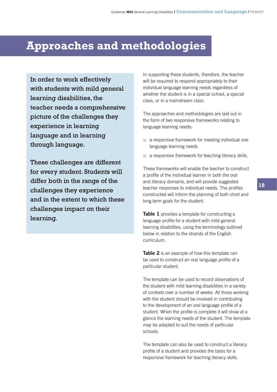# **Approaches and methodologies**

In order to work effectively with students with mild general learning disabilities, the teacher needs a comprehensive picture of the challenges they experience in learning language and in learning through language.

These challenges are different for every student. Students will differ both in the range of the challenges they experience and in the extent to which these challenges impact on their learning.

In supporting these students, therefore, the teacher will be required to respond appropriately to their individual language learning needs regardless of whether the student is in a special school, a special class, or in a mainstream class.

The approaches and methodologies are laid out in the form of two responsive frameworks relating to language learning needs:

- a responsive framework for meeting individual oral language learning needs
- a responsive framework for teaching literacy skills.

These frameworks will enable the teacher to construct a profile of the individual learner in both the oral and literacy domains, and will provide suggested teacher responses to individual needs. The profiles constructed will inform the planning of both short and long term goals for the student.

**Table 1** provides a template for constructing a language profile for a student with mild general learning disabilities, using the terminology outlined below in relation to the strands of the English curriculum.

**Table 2** is an example of how this template can be used to construct an oral language profile of a particular student.

The template can be used to record observations of the student with mild learning disabilities in a variety of contexts over a number of weeks. All those working with the student should be involved in contributing to the development of an oral language profile of a student. When the profile is complete it will show at a glance the learning needs of the student. The template may be adapted to suit the needs of particular schools.

The template can also be used to construct a literacy profile of a student and provides the basis for a responsive framework for teaching literacy skills.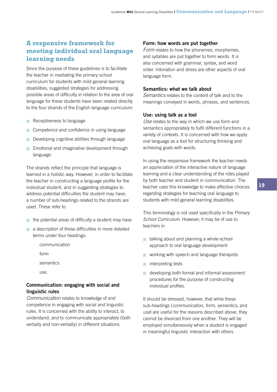# **A responsive framework for meeting individual oral language learning needs**

Since the purpose of these guidelines is to facilitate the teacher in mediating the primary school curriculum for students with mild general learning disabilities, suggested strategies for addressing possible areas of difficulty in relation to the area of oral language for these students have been related directly to the four strands of the English language curriculum:

- Receptiveness to language n
- Competence and confidence in using language n
- **Developing cognitive abilities through language**
- **Emotional and imaginative development through** language.

The strands reflect the principle that language is learned in a holistic way. However, in order to facilitate the teacher in constructing a language profile for the individual student, and in suggesting strategies to address potential difficulties the student may have, a number of sub-headings related to the strands are used. These refer to

- $\blacksquare$  the potential areas of difficulty a student may have
- $\blacksquare$  a description of these difficulties in more detailed terms under four headings:
	- communication
	- form
	- semantics
	- use.

# **Communication: engaging with social and linguistic rules**

*Communication* relates to knowledge of and competence in engaging with social and linguistic rules. It is concerned with the ability to interact, to understand, and to communicate appropriately (both verbally and non-verbally) in different situations.

### **Form: how words are put together**

*Form* relates to how the phonemes, morphemes, and syllables are put together to form words. It is also concerned with grammar, syntax, and word order. Intonation and stress are other aspects of oral language form.

### **Semantics: what we talk about**

*Semantics* relates to the content of talk and to the meanings conveyed in words, phrases, and sentences.

### **Use: using talk as a tool**

*Use* relates to the way in which we use form and semantics appropriately to fulfil different functions in a variety of contexts. It is concerned with how we apply oral language as a tool for structuring thinking and achieving goals with words.

In using the responsive framework the teacher needs an appreciation of the interactive nature of language learning and a clear understanding of the roles played by both teacher and student in communication. The teacher uses this knowledge to make effective choices regarding strategies for teaching oral language to students with mild general learning disabilities.

This terminology is not used specifically in the *Primary School Curriculum*. However, it may be of use to teachers in

- **talking about and planning a whole-school** approach to oral language development
- **Notainally working with speech and language therapists**
- nterpreting tests
- **developing both formal and informal assessment** procedures for the purpose of constructing individual profiles.

It should be stressed, however, that while these sub-headings (*communication*, *form*, *semantics*, and *use*) are useful for the reasons described above, they cannot be divorced from one another. They will be employed simultaneously when a student is engaged in meaningful linguistic interaction with others.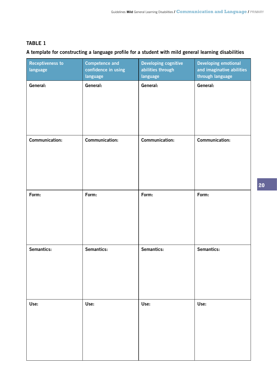# **Table 1**

# **A template for constructing a language profile for a student with mild general learning disabilities**

| <b>Receptiveness to</b><br>language | <b>Competence and</b><br>confidence in using<br>language | <b>Developing cognitive</b><br>abilities through<br>language | <b>Developing emotional</b><br>and imaginative abilities<br>through language |
|-------------------------------------|----------------------------------------------------------|--------------------------------------------------------------|------------------------------------------------------------------------------|
| General:                            | General:                                                 | General:                                                     | General:                                                                     |
| Communication:                      | <b>Communication:</b>                                    | <b>Communication:</b>                                        | <b>Communication:</b>                                                        |
| Form:                               | Form:                                                    | Form:                                                        | Form:                                                                        |
| Semantics:                          | Semantics:                                               | Semantics:                                                   | Semantics:                                                                   |
| Use:                                | Use:                                                     | Use:                                                         | Use:                                                                         |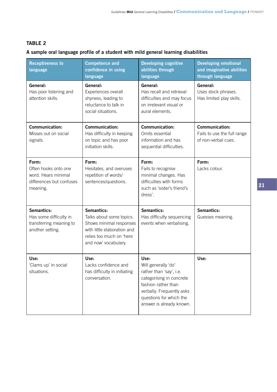# **Table 2**

# **A sample oral language profile of a student with mild general learning disabilities**

| <b>Receptiveness to</b><br>language                                                          | <b>Competence and</b><br>confidence in using<br>language                                                                                             | <b>Developing cognitive</b><br>abilities through<br>language                                                                                                                                  | <b>Developing emotional</b><br>and imaginative abilities<br>through language |
|----------------------------------------------------------------------------------------------|------------------------------------------------------------------------------------------------------------------------------------------------------|-----------------------------------------------------------------------------------------------------------------------------------------------------------------------------------------------|------------------------------------------------------------------------------|
| General:<br>Has poor listening and<br>attention skills.                                      | General:<br>Experiences overall<br>shyness, leading to<br>reluctance to talk in<br>social situations.                                                | General:<br>Has recall and retrieval<br>difficulties and may focus<br>on irrelevant visual or<br>aural elements.                                                                              | General:<br>Uses stock phrases.<br>Has limited play skills.                  |
| Communication:<br>Misses out on social<br>signals.                                           | <b>Communication:</b><br>Has difficulty in keeping<br>on topic and has poor<br>initiation skills.                                                    | <b>Communication:</b><br>Omits essential<br>information and has<br>sequential difficulties.                                                                                                   | <b>Communication:</b><br>Fails to use the full range<br>of non-verbal cues.  |
| Form:<br>Often hooks onto one<br>word. Hears minimal<br>differences but confuses<br>meaning. | Form:<br>Hesitates, and overuses<br>repetition of words/<br>sentences/questions.                                                                     | Form:<br>Fails to recognise<br>minimal changes. Has<br>difficulties with forms<br>such as 'sister's friend's<br>dress'.                                                                       | Form:<br>Lacks colour.                                                       |
| Semantics:<br>Has some difficulty in<br>transferring meaning to<br>another setting.          | Semantics:<br>Talks about some topics.<br>Shows minimal responses<br>with little elaboration and<br>relies too much on 'here<br>and now' vocabulary. | Semantics:<br>Has difficulty sequencing<br>events when verbalising.                                                                                                                           | Semantics:<br>Guesses meaning.                                               |
| Use:<br>'Clams up' in social<br>situations.                                                  | Use:<br>Lacks confidence and<br>has difficulty in initiating<br>conversation.                                                                        | Use:<br>Will generally 'do'<br>rather than 'say', i.e.<br>categorising in concrete<br>fashion rather than<br>verbally. Frequently asks<br>questions for which the<br>answer is already known. | Use:                                                                         |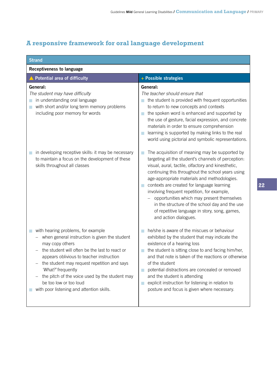# **A responsive framework for oral language development**

| <b>Strand</b>                                                                                                                                                                                                                                                                                                                                                                                      |                                                                                                                                                                                                                                                                                                                                                                                                                                                                                                                                                    |
|----------------------------------------------------------------------------------------------------------------------------------------------------------------------------------------------------------------------------------------------------------------------------------------------------------------------------------------------------------------------------------------------------|----------------------------------------------------------------------------------------------------------------------------------------------------------------------------------------------------------------------------------------------------------------------------------------------------------------------------------------------------------------------------------------------------------------------------------------------------------------------------------------------------------------------------------------------------|
| <b>Receptiveness to language</b>                                                                                                                                                                                                                                                                                                                                                                   |                                                                                                                                                                                                                                                                                                                                                                                                                                                                                                                                                    |
| <b>Potential area of difficulty</b>                                                                                                                                                                                                                                                                                                                                                                | + Possible strategies                                                                                                                                                                                                                                                                                                                                                                                                                                                                                                                              |
| General:<br>The student may have difficulty<br>in understanding oral language<br>with short and/or long term memory problems<br>including poor memory for words                                                                                                                                                                                                                                    | General:<br>The teacher should ensure that<br>the student is provided with frequent opportunities<br>m.<br>to return to new concepts and contexts<br>the spoken word is enhanced and supported by<br>T.<br>the use of gesture, facial expression, and concrete<br>materials in order to ensure comprehension<br>learning is supported by making links to the real<br>П<br>world using pictorial and symbolic representations.                                                                                                                      |
| in developing receptive skills: it may be necessary<br>to maintain a focus on the development of these<br>skills throughout all classes                                                                                                                                                                                                                                                            | The acquisition of meaning may be supported by<br>T.<br>targeting all the student's channels of perception:<br>visual, aural, tactile, olfactory and kinesthetic,<br>continuing this throughout the school years using<br>age-appropriate materials and methodologies.<br>contexts are created for language learning<br>П<br>involving frequent repetition, for example,<br>opportunities which may present themselves<br>in the structure of the school day and the use<br>of repetitive language in story, song, games,<br>and action dialogues. |
| with hearing problems, for example<br>when general instruction is given the student<br>may copy others<br>the student will often be the last to react or<br>appears oblivious to teacher instruction<br>the student may request repetition and says<br>'What?' frequently<br>the pitch of the voice used by the student may<br>be too low or too loud<br>with poor listening and attention skills. | he/she is aware of the miscues or behaviour<br>exhibited by the student that may indicate the<br>existence of a hearing loss<br>the student is sitting close to and facing him/her,<br>r.<br>and that note is taken of the reactions or otherwise<br>of the student<br>potential distractions are concealed or removed<br>r.<br>and the student is attending<br>explicit instruction for listening in relation to<br>r.<br>posture and focus is given where necessary.                                                                             |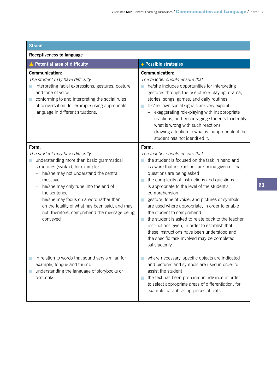| <b>Strand</b>                                                                                                                                                                                                                                                                                                                                                                                       |                                                                                                                                                                                                                                                                                                                                                                                                                                                                                                                                                                                                                                                               |
|-----------------------------------------------------------------------------------------------------------------------------------------------------------------------------------------------------------------------------------------------------------------------------------------------------------------------------------------------------------------------------------------------------|---------------------------------------------------------------------------------------------------------------------------------------------------------------------------------------------------------------------------------------------------------------------------------------------------------------------------------------------------------------------------------------------------------------------------------------------------------------------------------------------------------------------------------------------------------------------------------------------------------------------------------------------------------------|
| <b>Receptiveness to language</b>                                                                                                                                                                                                                                                                                                                                                                    |                                                                                                                                                                                                                                                                                                                                                                                                                                                                                                                                                                                                                                                               |
| ▲ Potential area of difficulty                                                                                                                                                                                                                                                                                                                                                                      | + Possible strategies                                                                                                                                                                                                                                                                                                                                                                                                                                                                                                                                                                                                                                         |
| Communication:<br>The student may have difficulty<br>interpreting facial expressions, gestures, posture,<br>H<br>and tone of voice<br>conforming to and interpreting the social rules<br>of conversation, for example using appropriate<br>language in different situations.                                                                                                                        | <b>Communication:</b><br>The teacher should ensure that<br>he/she includes opportunities for interpreting<br>a.<br>gestures through the use of role-playing, drama,<br>stories, songs, games, and daily routines<br>his/her own social signals are very explicit:<br>a.<br>exaggerating role-playing with inappropriate<br>reactions, and encouraging students to identify<br>what is wrong with such reactions<br>drawing attention to what is inappropriate if the<br>student has not identified it.                                                                                                                                                        |
| Form:<br>The student may have difficulty<br>understanding more than basic grammatical<br>structures (syntax), for example:<br>he/she may not understand the central<br>message<br>he/she may only tune into the end of<br>the sentence<br>he/she may focus on a word rather than<br>-<br>on the totality of what has been said, and may<br>not, therefore, comprehend the message being<br>conveyed | Form:<br>The teacher should ensure that<br>the student is focused on the task in hand and<br>is aware that instructions are being given or that<br>questions are being asked<br>the complexity of instructions and questions<br>is appropriate to the level of the student's<br>comprehension<br>gesture, tone of voice, and pictures or symbols<br>a.<br>are used where appropriate, in order to enable<br>the student to comprehend<br>the student is asked to relate back to the teacher<br>instructions given, in order to establish that<br>these instructions have been understood and<br>the specific task involved may be completed<br>satisfactorily |
| in relation to words that sound very similar, for<br>example, tongue and thumb<br>understanding the language of storybooks or<br>textbooks.                                                                                                                                                                                                                                                         | where necessary, specific objects are indicated<br>and pictures and symbols are used in order to<br>assist the student<br>the text has been prepared in advance in order<br>to select appropriate areas of differentiation, for<br>example paraphrasing pieces of texts.                                                                                                                                                                                                                                                                                                                                                                                      |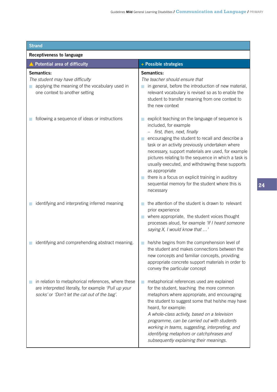| <b>Strand</b>                                                                                                                                                |                                                                                                                                                                                                                                                                                                                                                                                                                                                                                                                         |
|--------------------------------------------------------------------------------------------------------------------------------------------------------------|-------------------------------------------------------------------------------------------------------------------------------------------------------------------------------------------------------------------------------------------------------------------------------------------------------------------------------------------------------------------------------------------------------------------------------------------------------------------------------------------------------------------------|
| <b>Receptiveness to language</b>                                                                                                                             |                                                                                                                                                                                                                                                                                                                                                                                                                                                                                                                         |
| <b>Potential area of difficulty</b>                                                                                                                          | + Possible strategies                                                                                                                                                                                                                                                                                                                                                                                                                                                                                                   |
| Semantics:<br>The student may have difficulty<br>applying the meaning of the vocabulary used in<br>one context to another setting                            | Semantics:<br>The teacher should ensure that<br>in general, before the introduction of new material,<br>relevant vocabulary is revised so as to enable the<br>student to transfer meaning from one context to<br>the new context                                                                                                                                                                                                                                                                                        |
| following a sequence of ideas or instructions                                                                                                                | explicit teaching on the language of sequence is<br>included, for example<br>first, then, next, finally<br>encouraging the student to recall and describe a<br>task or an activity previously undertaken where<br>necessary, support materials are used, for example<br>pictures relating to the sequence in which a task is<br>usually executed, and withdrawing these supports<br>as appropriate<br>there is a focus on explicit training in auditory<br>sequential memory for the student where this is<br>necessary |
| identifying and interpreting inferred meaning                                                                                                                | the attention of the student is drawn to relevant<br>prior experience<br>where appropriate, the student voices thought<br>processes aloud, for example 'If I heard someone<br>saying X, I would know that '                                                                                                                                                                                                                                                                                                             |
| identifying and comprehending abstract meaning.                                                                                                              | he/she begins from the comprehension level of<br>the student and makes connections between the<br>new concepts and familiar concepts, providing<br>appropriate concrete support materials in order to<br>convey the particular concept                                                                                                                                                                                                                                                                                  |
| in relation to metaphorical references, where these<br>are interpreted literally, for example 'Pull up your<br>socks' or 'Don't let the cat out of the bag'. | metaphorical references used are explained<br>for the student, teaching the more common<br>metaphors where appropriate, and encouraging<br>the student to suggest some that he/she may have<br>heard, for example:<br>A whole-class activity, based on a television<br>programme, can be carried out with students<br>working in teams, suggesting, interpreting, and<br>identifying metaphors or catchphrases and<br>subsequently explaining their meanings.                                                           |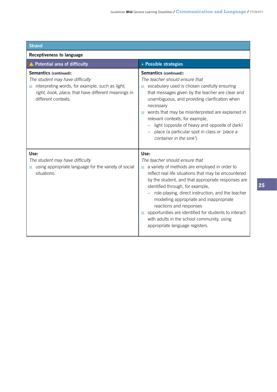| <b>Strand</b>                                                                                                                                                                              |                                                                                                                                                                                                                                                                                                                                                                                                                                                                                                                |
|--------------------------------------------------------------------------------------------------------------------------------------------------------------------------------------------|----------------------------------------------------------------------------------------------------------------------------------------------------------------------------------------------------------------------------------------------------------------------------------------------------------------------------------------------------------------------------------------------------------------------------------------------------------------------------------------------------------------|
| <b>Receptiveness to language</b>                                                                                                                                                           |                                                                                                                                                                                                                                                                                                                                                                                                                                                                                                                |
| ▲ Potential area of difficulty                                                                                                                                                             | + Possible strategies                                                                                                                                                                                                                                                                                                                                                                                                                                                                                          |
| Semantics (continued):<br>The student may have difficulty<br>interpreting words, for example, such as light,<br>right, book, place, that have different meanings in<br>different contexts. | Semantics (continued):<br>The teacher should ensure that<br>vocabulary used is chosen carefully ensuring<br>that messages given by the teacher are clear and<br>unambiguous, and providing clarification when<br>necessary<br>words that may be misinterpreted are explained in<br>relevant contexts, for example,<br>light (opposite of heavy and opposite of dark)<br>place (a particular spot in class or 'place a<br>container in the sink').                                                              |
| Use:<br>The student may have difficulty<br>using appropriate language for the variety of social<br>situations.                                                                             | Use:<br>The teacher should ensure that<br>a variety of methods are employed in order to<br>reflect real life situations that may be encountered<br>by the student, and that appropriate responses are<br>identified through, for example,<br>role-playing, direct instruction, and the teacher<br>modelling appropriate and inappropriate<br>reactions and responses<br>opportunities are identified for students to interact<br>with adults in the school community, using<br>appropriate language registers. |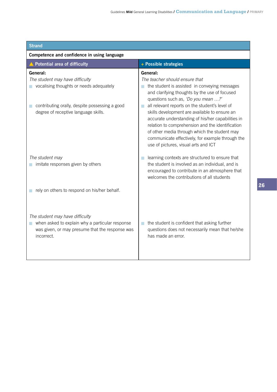| <b>Strand</b>                                                                                                                                       |                                                                                                                                                                                                                                                                                                                                                            |
|-----------------------------------------------------------------------------------------------------------------------------------------------------|------------------------------------------------------------------------------------------------------------------------------------------------------------------------------------------------------------------------------------------------------------------------------------------------------------------------------------------------------------|
| Competence and confidence in using language                                                                                                         |                                                                                                                                                                                                                                                                                                                                                            |
| ▲ Potential area of difficulty                                                                                                                      | + Possible strategies                                                                                                                                                                                                                                                                                                                                      |
| General:<br>The student may have difficulty<br>vocalising thoughts or needs adequately                                                              | General:<br>The teacher should ensure that<br>the student is assisted in conveying messages<br>and clarifying thoughts by the use of focused<br>questions such as, 'Do you mean ?'                                                                                                                                                                         |
| contributing orally, despite possessing a good<br>degree of receptive language skills.                                                              | all relevant reports on the student's level of<br>n.<br>skills development are available to ensure an<br>accurate understanding of his/her capabilities in<br>relation to comprehension and the identification<br>of other media through which the student may<br>communicate effectively, for example through the<br>use of pictures, visual arts and ICT |
| The student may<br>imitate responses given by others                                                                                                | learning contexts are structured to ensure that<br>the student is involved as an individual, and is<br>encouraged to contribute in an atmosphere that<br>welcomes the contributions of all students                                                                                                                                                        |
| rely on others to respond on his/her behalf.                                                                                                        |                                                                                                                                                                                                                                                                                                                                                            |
| The student may have difficulty<br>when asked to explain why a particular response<br>was given, or may presume that the response was<br>incorrect. | the student is confident that asking further<br>questions does not necessarily mean that he/she<br>has made an error.                                                                                                                                                                                                                                      |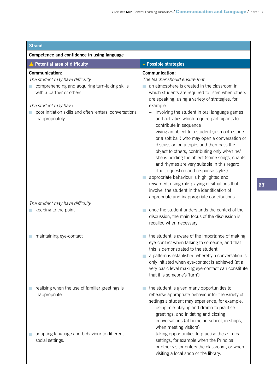| <b>Strand</b>                                                                                                                                                                                                                                  |                                                                                                                                                                                                                                                                                                                                                                                                                                                                                                                                                                                                                                                                                                                                                                                             |  |
|------------------------------------------------------------------------------------------------------------------------------------------------------------------------------------------------------------------------------------------------|---------------------------------------------------------------------------------------------------------------------------------------------------------------------------------------------------------------------------------------------------------------------------------------------------------------------------------------------------------------------------------------------------------------------------------------------------------------------------------------------------------------------------------------------------------------------------------------------------------------------------------------------------------------------------------------------------------------------------------------------------------------------------------------------|--|
| Competence and confidence in using language                                                                                                                                                                                                    |                                                                                                                                                                                                                                                                                                                                                                                                                                                                                                                                                                                                                                                                                                                                                                                             |  |
| ▲ Potential area of difficulty                                                                                                                                                                                                                 | + Possible strategies                                                                                                                                                                                                                                                                                                                                                                                                                                                                                                                                                                                                                                                                                                                                                                       |  |
| <b>Communication:</b><br>The student may have difficulty<br>comprehending and acquiring turn-taking skills<br>with a partner or others.<br>The student may have<br>poor initiation skills and often 'enters' conversations<br>inappropriately. | <b>Communication:</b><br>The teacher should ensure that<br>an atmosphere is created in the classroom in<br>which students are required to listen when others<br>are speaking, using a variety of strategies, for<br>example<br>involving the student in oral language games<br>and activities which require participants to<br>contribute in sequence<br>giving an object to a student (a smooth stone<br>or a soft ball) who may open a conversation or<br>discussion on a topic, and then pass the<br>object to others, contributing only when he/<br>she is holding the object (some songs, chants<br>and rhymes are very suitable in this regard<br>due to question and response styles)<br>appropriate behaviour is highlighted and<br>rewarded, using role-playing of situations that |  |
| The student may have difficulty<br>keeping to the point                                                                                                                                                                                        | involve the student in the identification of<br>appropriate and inappropriate contributions<br>once the student understands the context of the<br>discussion, the main focus of the discussion is<br>recalled when necessary                                                                                                                                                                                                                                                                                                                                                                                                                                                                                                                                                                |  |
| maintaining eye-contact                                                                                                                                                                                                                        | the student is aware of the importance of making<br>eye-contact when talking to someone, and that<br>this is demonstrated to the student<br>a pattern is established whereby a conversation is<br>only initiated when eye-contact is achieved (at a<br>very basic level making eye-contact can constitute<br>that it is someone's 'turn')                                                                                                                                                                                                                                                                                                                                                                                                                                                   |  |
| realising when the use of familiar greetings is<br>inappropriate                                                                                                                                                                               | the student is given many opportunities to<br>rehearse appropriate behaviour for the variety of<br>settings a student may experience, for example:<br>using role-playing and drama to practise<br>greetings, and initiating and closing<br>conversations (at home, in school, in shops,<br>when meeting visitors)                                                                                                                                                                                                                                                                                                                                                                                                                                                                           |  |
| adapting language and behaviour to different<br>social settings.                                                                                                                                                                               | taking opportunities to practise these in real<br>settings, for example when the Principal<br>or other visitor enters the classroom, or when<br>visiting a local shop or the library.                                                                                                                                                                                                                                                                                                                                                                                                                                                                                                                                                                                                       |  |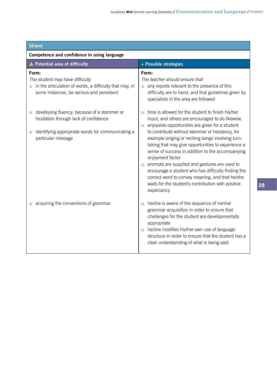| <b>Strand</b>                                                                                                                                                                                   |                                                                                                                                                                                                                                                                                                                                                                                                                                                                                                                                                                              |  |
|-------------------------------------------------------------------------------------------------------------------------------------------------------------------------------------------------|------------------------------------------------------------------------------------------------------------------------------------------------------------------------------------------------------------------------------------------------------------------------------------------------------------------------------------------------------------------------------------------------------------------------------------------------------------------------------------------------------------------------------------------------------------------------------|--|
| Competence and confidence in using language                                                                                                                                                     |                                                                                                                                                                                                                                                                                                                                                                                                                                                                                                                                                                              |  |
| ▲ Potential area of difficulty                                                                                                                                                                  | + Possible strategies                                                                                                                                                                                                                                                                                                                                                                                                                                                                                                                                                        |  |
| Form:<br>The student may have difficulty<br>in the articulation of words, a difficulty that may, in<br>some instances, be serious and persistent<br>developing fluency; because of a stammer or | Form:<br>The teacher should ensure that<br>any reports relevant to the presence of this<br>difficulty are to hand, and that guidelines given by<br>specialists in the area are followed<br>time is allowed for the student to finish his/her                                                                                                                                                                                                                                                                                                                                 |  |
| hesitation through lack of confidence<br>identifying appropriate words for communicating a<br>particular message                                                                                | input, and others are encouraged to do likewise<br>enjoyable opportunities are given for a student<br>m.<br>to contribute without stammer or hesitancy, for<br>example singing or reciting songs involving turn-<br>taking that may give opportunities to experience a<br>sense of success in addition to the accompanying<br>enjoyment factor<br>prompts are supplied and gestures are used to<br>encourage a student who has difficulty finding the<br>correct word to convey meaning, and that he/she<br>waits for the student's contribution with positive<br>expectancy |  |
| acquiring the conventions of grammar.                                                                                                                                                           | he/she is aware of the sequence of normal<br>grammar acquisition in order to ensure that<br>challenges for the student are developmentally<br>appropriate<br>he/she modifies his/her own use of language<br>structure in order to ensure that the student has a<br>clear understanding of what is being said.                                                                                                                                                                                                                                                                |  |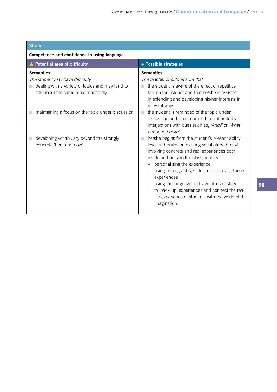| <b>Strand</b>                                                                                                                                                                                                                                                           |                                                                                                                                                                                                                                                                                                                                                                                                                                                                                                                                                                                                                                                                                                                                                                                                                                                                                                       |
|-------------------------------------------------------------------------------------------------------------------------------------------------------------------------------------------------------------------------------------------------------------------------|-------------------------------------------------------------------------------------------------------------------------------------------------------------------------------------------------------------------------------------------------------------------------------------------------------------------------------------------------------------------------------------------------------------------------------------------------------------------------------------------------------------------------------------------------------------------------------------------------------------------------------------------------------------------------------------------------------------------------------------------------------------------------------------------------------------------------------------------------------------------------------------------------------|
| Competence and confidence in using language                                                                                                                                                                                                                             |                                                                                                                                                                                                                                                                                                                                                                                                                                                                                                                                                                                                                                                                                                                                                                                                                                                                                                       |
| <b>Potential area of difficulty</b>                                                                                                                                                                                                                                     | + Possible strategies                                                                                                                                                                                                                                                                                                                                                                                                                                                                                                                                                                                                                                                                                                                                                                                                                                                                                 |
| Semantics:<br>The student may have difficulty<br>dealing with a variety of topics and may tend to<br>talk about the same topic repeatedly<br>maintaining a focus on the topic under discussion<br>developing vocabulary beyond the strongly<br>concrete 'here and now'. | Semantics:<br>The teacher should ensure that<br>the student is aware of the effect of repetitive<br>talk on the listener and that he/she is assisted<br>in extending and developing his/her interests in<br>relevant ways<br>the student is reminded of the topic under<br>discussion and is encouraged to elaborate by<br>interjections with cues such as, 'And?' or 'What<br>happened next?'<br>he/she begins from the student's present ability<br>level and builds on existing vocabulary through<br>involving concrete and real experiences both<br>inside and outside the classroom by<br>personalising the experience<br>-<br>using photographs, slides, etc. to revisit those<br>experiences<br>using the language and vivid texts of story<br>$\overline{\phantom{0}}$<br>to 'back-up' experiences and connect the real<br>life experience of students with the world of the<br>imagination. |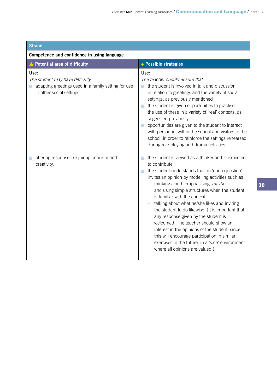| <b>Strand</b>                                                                                                                    |                                                                                                                                                                                                                                                                                                                                                                                                                                                                                                                                                                                                                                                                                          |  |
|----------------------------------------------------------------------------------------------------------------------------------|------------------------------------------------------------------------------------------------------------------------------------------------------------------------------------------------------------------------------------------------------------------------------------------------------------------------------------------------------------------------------------------------------------------------------------------------------------------------------------------------------------------------------------------------------------------------------------------------------------------------------------------------------------------------------------------|--|
| Competence and confidence in using language                                                                                      |                                                                                                                                                                                                                                                                                                                                                                                                                                                                                                                                                                                                                                                                                          |  |
| <b>Potential area of difficulty</b>                                                                                              | + Possible strategies                                                                                                                                                                                                                                                                                                                                                                                                                                                                                                                                                                                                                                                                    |  |
| Use:<br>The student may have difficulty<br>adapting greetings used in a family setting for use<br>a.<br>in other social settings | Use:<br>The teacher should ensure that<br>the student is involved in talk and discussion<br>$\mathcal{L}_{\mathcal{A}}$<br>in relation to greetings and the variety of social<br>settings, as previously mentioned<br>the student is given opportunities to practise<br>the use of these in a variety of 'real' contexts, as<br>suggested previously<br>opportunities are given to the student to interact<br>with personnel within the school and visitors to the<br>school, in order to reinforce the settings rehearsed<br>during role-playing and drama activities                                                                                                                   |  |
| offering responses requiring criticism and<br>creativity.                                                                        | the student is viewed as a thinker and is expected<br>to contribute<br>the student understands that an 'open question'<br>m.<br>invites an opinion by modelling activities such as<br>thinking aloud, emphasising 'maybe '<br>and using simple structures when the student<br>is familiar with the context<br>talking about what he/she likes and inviting<br>the student to do likewise. (It is important that<br>any response given by the student is<br>welcomed. The teacher should show an<br>interest in the opinions of the student, since<br>this will encourage participation in similar<br>exercises in the future, in a 'safe' environment<br>where all opinions are valued.) |  |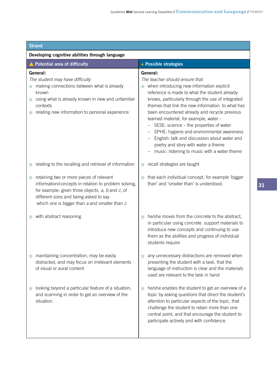| <b>Strand</b>                                                                                                                                                                                                                                       |                                                                                                                                                                                                                                                                                                                                                                                                                                                                                                                                                                                   |  |
|-----------------------------------------------------------------------------------------------------------------------------------------------------------------------------------------------------------------------------------------------------|-----------------------------------------------------------------------------------------------------------------------------------------------------------------------------------------------------------------------------------------------------------------------------------------------------------------------------------------------------------------------------------------------------------------------------------------------------------------------------------------------------------------------------------------------------------------------------------|--|
| Developing cognitive abilities through language                                                                                                                                                                                                     |                                                                                                                                                                                                                                                                                                                                                                                                                                                                                                                                                                                   |  |
| ▲ Potential area of difficulty                                                                                                                                                                                                                      | + Possible strategies                                                                                                                                                                                                                                                                                                                                                                                                                                                                                                                                                             |  |
| General:<br>The student may have difficulty<br>making connections between what is already<br>known<br>using what is already known in new and unfamiliar<br>contexts<br>relating new information to personal experience                              | General:<br>The teacher should ensure that<br>when introducing new information explicit<br>a.<br>reference is made to what the student already<br>knows, particularly through the use of integrated<br>themes that link the new information to what has<br>been encountered already and recycle previous<br>learned material, for example, water -<br>SESE: science - the properties of water<br>SPHE: hygiene and environmental awareness<br>English: talk and discussion about water and<br>poetry and story with water a theme<br>music: listening to music with a water theme |  |
| relating to the recalling and retrieval of information                                                                                                                                                                                              | recall strategies are taught<br>m,                                                                                                                                                                                                                                                                                                                                                                                                                                                                                                                                                |  |
| retaining two or more pieces of relevant<br>information/concepts in relation to problem solving,<br>for example: given three objects, a, b and c, of<br>different sizes and being asked to say<br>which one is bigger than $a$ and smaller than $c$ | that each individual concept, for example 'bigger<br>than' and 'smaller than' is understood.                                                                                                                                                                                                                                                                                                                                                                                                                                                                                      |  |
| with abstract reasoning                                                                                                                                                                                                                             | he/she moves from the concrete to the abstract,<br>in particular using concrete support materials to<br>introduce new concepts and continuing to use<br>them as the abilities and progress of individual<br>students require                                                                                                                                                                                                                                                                                                                                                      |  |
| maintaining concentration, may be easily<br>distracted, and may focus on irrelevant elements<br>of visual or aural content                                                                                                                          | any unnecessary distractions are removed when<br>presenting the student with a task, that the<br>language of instruction is clear and the materials<br>used are relevant to the task in hand                                                                                                                                                                                                                                                                                                                                                                                      |  |
| looking beyond a particular feature of a situation,<br>and scanning in order to get an overview of the<br>situation.                                                                                                                                | he/she enables the student to get an overview of a<br>topic by asking questions that direct the student's<br>attention to particular aspects of the topic, that<br>challenge the student to retain more than one<br>central point, and that encourage the student to<br>participate actively and with confidence.                                                                                                                                                                                                                                                                 |  |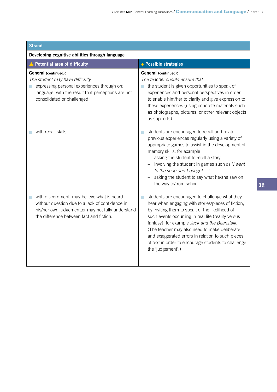| <b>Strand</b>                                                                                                                                                                                      |                                                                                                                                                                                                                                                                                                                                                                                                                                                 |  |
|----------------------------------------------------------------------------------------------------------------------------------------------------------------------------------------------------|-------------------------------------------------------------------------------------------------------------------------------------------------------------------------------------------------------------------------------------------------------------------------------------------------------------------------------------------------------------------------------------------------------------------------------------------------|--|
| Developing cognitive abilities through language                                                                                                                                                    |                                                                                                                                                                                                                                                                                                                                                                                                                                                 |  |
| ▲ Potential area of difficulty                                                                                                                                                                     | + Possible strategies                                                                                                                                                                                                                                                                                                                                                                                                                           |  |
| <b>General</b> (continued):<br>The student may have difficulty<br>expressing personal experiences through oral<br>language, with the result that perceptions are not<br>consolidated or challenged | <b>General</b> (continued):<br>The teacher should ensure that<br>the student is given opportunities to speak of<br>experiences and personal perspectives in order<br>to enable him/her to clarify and give expression to<br>these experiences (using concrete materials such<br>as photographs, pictures, or other relevant objects<br>as supports)                                                                                             |  |
| with recall skills                                                                                                                                                                                 | students are encouraged to recall and relate<br>previous experiences regularly using a variety of<br>appropriate games to assist in the development of<br>memory skills, for example<br>- asking the student to retell a story<br>$-$ involving the student in games such as 'l went<br>to the shop and I bought '<br>asking the student to say what he/she saw on<br>the way to/from school                                                    |  |
| with discernment, may believe what is heard<br>without question due to a lack of confidence in<br>his/her own judgement, or may not fully understand<br>the difference between fact and fiction.   | students are encouraged to challenge what they<br>hear when engaging with stories/pieces of fiction,<br>by inviting them to speak of the likelihood of<br>such events occurring in real life (reality versus<br>fantasy), for example Jack and the Beanstalk.<br>(The teacher may also need to make deliberate<br>and exaggerated errors in relation to such pieces<br>of text in order to encourage students to challenge<br>the 'judgement'.) |  |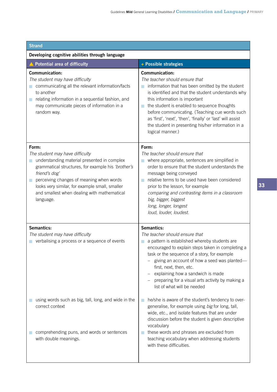| <b>Strand</b>                                                                                                                                                                                                                                                                                                                 |                                                                                                                                                                                                                                                                                                                                                                                                                                                    |
|-------------------------------------------------------------------------------------------------------------------------------------------------------------------------------------------------------------------------------------------------------------------------------------------------------------------------------|----------------------------------------------------------------------------------------------------------------------------------------------------------------------------------------------------------------------------------------------------------------------------------------------------------------------------------------------------------------------------------------------------------------------------------------------------|
| Developing cognitive abilities through language                                                                                                                                                                                                                                                                               |                                                                                                                                                                                                                                                                                                                                                                                                                                                    |
| <b>Potential area of difficulty</b>                                                                                                                                                                                                                                                                                           | + Possible strategies                                                                                                                                                                                                                                                                                                                                                                                                                              |
| Communication:<br>The student may have difficulty<br>communicating all the relevant information/facts<br>to another<br>relating information in a sequential fashion, and<br>П<br>may communicate pieces of information in a<br>random way.                                                                                    | <b>Communication:</b><br>The teacher should ensure that<br>information that has been omitted by the student<br>is identified and that the student understands why<br>this information is important<br>the student is enabled to sequence thoughts<br>T.<br>before communicating. (Teaching cue words such<br>as 'first', 'next', 'then', 'finally' or 'last' will assist<br>the student in presenting his/her information in a<br>logical manner.) |
| Form:<br>The student may have difficulty<br>understanding material presented in complex<br>П<br>grammatical structures, for example his 'brother's<br>friend's dog'<br>perceiving changes of meaning when words<br>looks very similar, for example small, smaller<br>and smallest when dealing with mathematical<br>language. | Form:<br>The teacher should ensure that<br>where appropriate, sentences are simplified in<br>order to ensure that the student understands the<br>message being conveyed<br>relative terms to be used have been considered<br>prior to the lesson, for example<br>comparing and contrasting items in a classroom<br>big, bigger, biggest<br>long, longer, longest<br>loud, louder, loudest.                                                         |
| Semantics:<br>The student may have difficulty<br>verbalising a process or a sequence of events                                                                                                                                                                                                                                | Semantics:<br>The teacher should ensure that<br>a pattern is established whereby students are<br>encouraged to explain steps taken in completing a<br>task or the sequence of a story, for example<br>giving an account of how a seed was planted-<br>first, next, then, etc.<br>explaining how a sandwich is made<br>preparing for a visual arts activity by making a<br>list of what will be needed                                              |
| using words such as big, tall, long, and wide in the<br>correct context<br>comprehending puns, and words or sentences<br>with double meanings.                                                                                                                                                                                | he/she is aware of the student's tendency to over-<br>generalise, for example using big for long, tall,<br>wide, etc., and isolate features that are under<br>discussion before the student is given descriptive<br>vocabulary<br>these words and phrases are excluded from<br>teaching vocabulary when addressing students<br>with these difficulties.                                                                                            |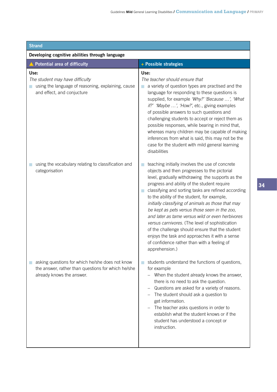| <b>Strand</b>                                                                                                                      |                                                                                                                                                                                                                                                                                                                                                                                                                                                                                                                                                                                                                                                                                              |
|------------------------------------------------------------------------------------------------------------------------------------|----------------------------------------------------------------------------------------------------------------------------------------------------------------------------------------------------------------------------------------------------------------------------------------------------------------------------------------------------------------------------------------------------------------------------------------------------------------------------------------------------------------------------------------------------------------------------------------------------------------------------------------------------------------------------------------------|
| Developing cognitive abilities through language                                                                                    |                                                                                                                                                                                                                                                                                                                                                                                                                                                                                                                                                                                                                                                                                              |
| ▲ Potential area of difficulty                                                                                                     | + Possible strategies                                                                                                                                                                                                                                                                                                                                                                                                                                                                                                                                                                                                                                                                        |
| Use:<br>The student may have difficulty<br>using the language of reasoning, explaining, cause<br>and effect, and conjucture        | Use:<br>The teacher should ensure that<br>a variety of question types are practised and the<br>language for responding to these questions is<br>supplied, for example 'Why?' 'Because ', 'What<br>if?' 'Maybe ', 'How?', etc., giving examples<br>of possible answers to such questions and<br>challenging students to accept or reject them as<br>possible responses, while bearing in mind that,<br>whereas many children may be capable of making<br>inferences from what is said, this may not be the<br>case for the student with mild general learning<br>disabilities                                                                                                                 |
| using the vocabulary relating to classification and<br>categorisation                                                              | teaching initially involves the use of concrete<br>objects and then progresses to the pictorial<br>level, gradually withdrawing the supports as the<br>progress and ability of the student require<br>classifying and sorting tasks are refined according<br>to the ability of the student, for example,<br>initially classifying of animals as those that may<br>be kept as pets versus those seen in the zoo,<br>and later as tame versus wild or even herbivores<br>versus carnivores. (The level of sophistication<br>of the challenge should ensure that the student<br>enjoys the task and approaches it with a sense<br>of confidence rather than with a feeling of<br>apprehension.) |
| asking questions for which he/she does not know<br>the answer, rather than questions for which he/she<br>already knows the answer. | students understand the functions of questions,<br>for example<br>When the student already knows the answer,<br>there is no need to ask the question.<br>Questions are asked for a variety of reasons.<br>The student should ask a question to<br>get information.<br>The teacher asks questions in order to<br>establish what the student knows or if the<br>student has understood a concept or<br>instruction.                                                                                                                                                                                                                                                                            |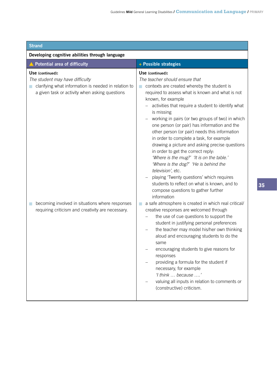| <b>Strand</b>                                                                                                                                                                                                                                                         |                                                                                                                                                                                                                                                                                                                                                                                                                                                                                                                                                                                                                                                                                                                                                                                                                                                                                                                                                                                                                                                                                                                                                                                                                                                                                                                                                   |  |
|-----------------------------------------------------------------------------------------------------------------------------------------------------------------------------------------------------------------------------------------------------------------------|---------------------------------------------------------------------------------------------------------------------------------------------------------------------------------------------------------------------------------------------------------------------------------------------------------------------------------------------------------------------------------------------------------------------------------------------------------------------------------------------------------------------------------------------------------------------------------------------------------------------------------------------------------------------------------------------------------------------------------------------------------------------------------------------------------------------------------------------------------------------------------------------------------------------------------------------------------------------------------------------------------------------------------------------------------------------------------------------------------------------------------------------------------------------------------------------------------------------------------------------------------------------------------------------------------------------------------------------------|--|
| Developing cognitive abilities through language                                                                                                                                                                                                                       |                                                                                                                                                                                                                                                                                                                                                                                                                                                                                                                                                                                                                                                                                                                                                                                                                                                                                                                                                                                                                                                                                                                                                                                                                                                                                                                                                   |  |
| ▲ Potential area of difficulty                                                                                                                                                                                                                                        | + Possible strategies                                                                                                                                                                                                                                                                                                                                                                                                                                                                                                                                                                                                                                                                                                                                                                                                                                                                                                                                                                                                                                                                                                                                                                                                                                                                                                                             |  |
| Use (continued):<br>The student may have difficulty<br>clarifying what information is needed in relation to<br>a given task or activity when asking questions<br>becoming involved in situations where responses<br>requiring criticism and creativity are necessary. | Use (continued):<br>The teacher should ensure that<br>contexts are created whereby the student is<br>m.<br>required to assess what is known and what is not<br>known, for example<br>activities that require a student to identify what<br>is missing<br>working in pairs (or two groups of two) in which<br>one person (or pair) has information and the<br>other person (or pair) needs this information<br>in order to complete a task, for example<br>drawing a picture and asking precise questions<br>in order to get the correct reply:<br>'Where is the mug?' 'It is on the table.'<br>'Where is the dog?' 'He is behind the<br>television', etc.<br>playing 'Twenty questions' which requires<br>students to reflect on what is known, and to<br>compose questions to gather further<br>information<br>a safe atmosphere is created in which real critical/<br>П<br>creative responses are welcomed through<br>the use of cue questions to support the<br>student in justifying personal preferences<br>the teacher may model his/her own thinking<br>aloud and encouraging students to do the<br>same<br>encouraging students to give reasons for<br>responses<br>providing a formula for the student if<br>necessary, for example<br>'I think  because '<br>valuing all inputs in relation to comments or<br>(constructive) criticism. |  |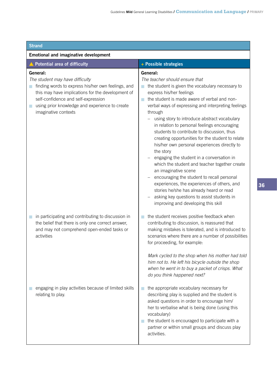| <b>Strand</b>                                                                                                                                                                                                                                                                       |                                                                                                                                                                                                                                                                                                                                                                                                                                                                                                                                                                                                                                                                                                                                                                                                                                                                                                     |  |
|-------------------------------------------------------------------------------------------------------------------------------------------------------------------------------------------------------------------------------------------------------------------------------------|-----------------------------------------------------------------------------------------------------------------------------------------------------------------------------------------------------------------------------------------------------------------------------------------------------------------------------------------------------------------------------------------------------------------------------------------------------------------------------------------------------------------------------------------------------------------------------------------------------------------------------------------------------------------------------------------------------------------------------------------------------------------------------------------------------------------------------------------------------------------------------------------------------|--|
| <b>Emotional and imaginative development</b>                                                                                                                                                                                                                                        |                                                                                                                                                                                                                                                                                                                                                                                                                                                                                                                                                                                                                                                                                                                                                                                                                                                                                                     |  |
| ▲ Potential area of difficulty                                                                                                                                                                                                                                                      | + Possible strategies                                                                                                                                                                                                                                                                                                                                                                                                                                                                                                                                                                                                                                                                                                                                                                                                                                                                               |  |
| General:<br>The student may have difficulty<br>finding words to express his/her own feelings, and<br>m,<br>this may have implications for the development of<br>self-confidence and self-expression<br>using prior knowledge and experience to create<br>L.<br>imaginative contexts | General:<br>The teacher should ensure that<br>the student is given the vocabulary necessary to<br>express his/her feelings<br>the student is made aware of verbal and non-<br>$\mathcal{L}_{\mathcal{A}}$<br>verbal ways of expressing and interpreting feelings<br>through<br>using story to introduce abstract vocabulary<br>-<br>in relation to personal feelings encouraging<br>students to contribute to discussion, thus<br>creating opportunities for the student to relate<br>his/her own personal experiences directly to<br>the story<br>engaging the student in a conversation in<br>which the student and teacher together create<br>an imaginative scene<br>encouraging the student to recall personal<br>experiences, the experiences of others, and<br>stories he/she has already heard or read<br>asking key questions to assist students in<br>improving and developing this skill |  |
| in participating and contributing to discussion in<br>П<br>the belief that there is only one correct answer,<br>and may not comprehend open-ended tasks or<br>activities                                                                                                            | the student receives positive feedback when<br>contributing to discussion, is reassured that<br>making mistakes is tolerated, and is introduced to<br>scenarios where there are a number of possibilities<br>for proceeding, for example:<br>Mark cycled to the shop when his mother had told<br>him not to. He left his bicycle outside the shop<br>when he went in to buy a packet of crisps. What<br>do you think happened next?                                                                                                                                                                                                                                                                                                                                                                                                                                                                 |  |
| engaging in play activities because of limited skills<br>relating to play.                                                                                                                                                                                                          | the appropriate vocabulary necessary for<br>describing play is supplied and the student is<br>asked questions in order to encourage him/<br>her to verbalise what is being done (using this<br>vocabulary)<br>the student is encouraged to participate with a<br>partner or within small groups and discuss play<br>activities.                                                                                                                                                                                                                                                                                                                                                                                                                                                                                                                                                                     |  |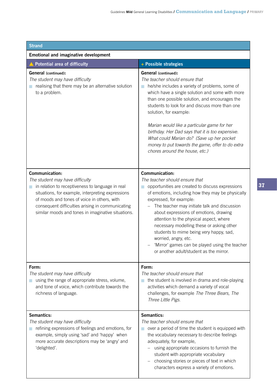| <b>Strand</b>                                                                                                                                                                                                                                                                                                       |                                                                                                                                                                                                                                                                                                                                                                                                                                                                                                                                               |
|---------------------------------------------------------------------------------------------------------------------------------------------------------------------------------------------------------------------------------------------------------------------------------------------------------------------|-----------------------------------------------------------------------------------------------------------------------------------------------------------------------------------------------------------------------------------------------------------------------------------------------------------------------------------------------------------------------------------------------------------------------------------------------------------------------------------------------------------------------------------------------|
| <b>Emotional and imaginative development</b>                                                                                                                                                                                                                                                                        |                                                                                                                                                                                                                                                                                                                                                                                                                                                                                                                                               |
| <b>Potential area of difficulty</b>                                                                                                                                                                                                                                                                                 | + Possible strategies                                                                                                                                                                                                                                                                                                                                                                                                                                                                                                                         |
| <b>General</b> (continued):<br>The student may have difficulty<br>realising that there may be an alternative solution<br>to a problem.                                                                                                                                                                              | <b>General</b> (continued):<br>The teacher should ensure that<br>he/she includes a variety of problems, some of<br>which have a single solution and some with more<br>than one possible solution, and encourages the<br>students to look for and discuss more than one<br>solution, for example:<br>Marian would like a particular game for her<br>birthday. Her Dad says that it is too expensive.<br>What could Marian do? (Save up her pocket<br>money to put towards the game, offer to do extra<br>chores around the house, etc.)        |
| Communication:<br>The student may have difficulty<br>in relation to receptiveness to language in real<br>situations, for example, interpreting expressions<br>of moods and tones of voice in others, with<br>consequent difficulties arising in communicating<br>similar moods and tones in imaginative situations. | <b>Communication:</b><br>The teacher should ensure that<br>opportunities are created to discuss expressions<br>of emotions, including how they may be physically<br>expressed, for example:<br>The teacher may initiate talk and discussion<br>about expressions of emotions, drawing<br>attention to the physical aspect, where<br>necessary modelling these or asking other<br>students to mime being very happy, sad,<br>worried, angry, etc.<br>'Mirror' games can be played using the teacher<br>or another adult/student as the mirror. |
| Form:<br>The student may have difficulty<br>using the range of appropriate stress, volume,<br>and tone of voice, which contribute towards the<br>richness of language.                                                                                                                                              | Form:<br>The teacher should ensure that<br>the student is involved in drama and role-playing<br>activities which demand a variety of vocal<br>challenges, for example The Three Bears, The<br>Three Little Pigs.                                                                                                                                                                                                                                                                                                                              |
| Semantics:<br>The student may have difficulty<br>refining expressions of feelings and emotions, for<br>m.<br>example, simply using 'sad' and 'happy' when<br>more accurate descriptions may be 'angry' and<br>'delighted'.                                                                                          | Semantics:<br>The teacher should ensure that<br>over a period of time the student is equipped with<br>the vocabulary necessary to describe feelings<br>adequately, for example,<br>using appropriate occasions to furnish the<br>student with appropriate vocabulary<br>choosing stories or pieces of text in which<br>characters express a variety of emotions.                                                                                                                                                                              |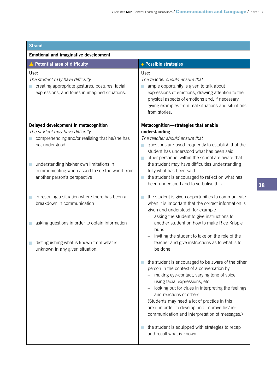| <b>Strand</b>                                                                                                                                                                                                                                                                   |                                                                                                                                                                                                                                                                                                                                                                                                                                                                                                        |
|---------------------------------------------------------------------------------------------------------------------------------------------------------------------------------------------------------------------------------------------------------------------------------|--------------------------------------------------------------------------------------------------------------------------------------------------------------------------------------------------------------------------------------------------------------------------------------------------------------------------------------------------------------------------------------------------------------------------------------------------------------------------------------------------------|
| <b>Emotional and imaginative development</b>                                                                                                                                                                                                                                    |                                                                                                                                                                                                                                                                                                                                                                                                                                                                                                        |
| ▲ Potential area of difficulty                                                                                                                                                                                                                                                  | + Possible strategies                                                                                                                                                                                                                                                                                                                                                                                                                                                                                  |
| Use:<br>The student may have difficulty<br>creating appropriate gestures, postures, facial<br>expressions, and tones in imagined situations.                                                                                                                                    | Use:<br>The teacher should ensure that<br>ample opportunity is given to talk about<br>expressions of emotions, drawing attention to the<br>physical aspects of emotions and, if necessary,<br>giving examples from real situations and situations<br>from stories.                                                                                                                                                                                                                                     |
| Delayed development in metacognition<br>The student may have difficulty<br>comprehending and/or realising that he/she has<br>not understood<br>understanding his/her own limitations in<br>L.<br>communicating when asked to see the world from<br>another person's perspective | Metacognition-strategies that enable<br>understanding<br>The teacher should ensure that<br>questions are used frequently to establish that the<br>student has understood what has been said<br>other personnel within the school are aware that<br>the student may have difficulties understanding<br>fully what has been said<br>the student is encouraged to reflect on what has<br>m.<br>been understood and to verbalise this                                                                      |
| in rescuing a situation where there has been a<br>П<br>breakdown in communication<br>asking questions in order to obtain information<br>distinguishing what is known from what is<br>T.<br>unknown in any given situation.                                                      | the student is given opportunities to communicate<br>when it is important that the correct information is<br>given and understood, for example<br>asking the student to give instructions to<br>$\overline{\phantom{0}}$<br>another student on how to make Rice Krispie<br>buns<br>inviting the student to take on the role of the<br>teacher and give instructions as to what is to<br>be done                                                                                                        |
|                                                                                                                                                                                                                                                                                 | the student is encouraged to be aware of the other<br>person in the context of a conversation by<br>making eye-contact, varying tone of voice,<br>using facial expressions, etc.<br>looking out for clues in interpreting the feelings<br>and reactions of others.<br>(Students may need a lot of practice in this<br>area, in order to develop and improve his/her<br>communication and interpretation of messages.)<br>the student is equipped with strategies to recap<br>and recall what is known. |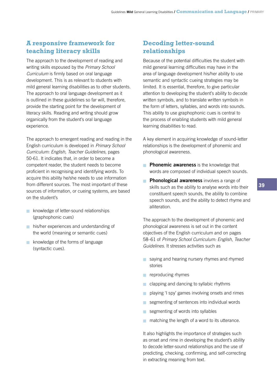# **A responsive framework for teaching literacy skills**

The approach to the development of reading and writing skills espoused by the *Primary School Curriculum* is firmly based on oral language development. This is as relevant to students with mild general learning disabilities as to other students. The approach to oral language development as it is outlined in these guidelines so far will, therefore, provide the starting point for the development of literacy skills. Reading and writing should grow organically from the student's oral language experience.

The approach to emergent reading and reading in the English curriculum is developed in *Primary School Curriculum: English, Teacher Guidelines,* pages 50-61. It indicates that, in order to become a competent reader, the student needs to become proficient in recognising and identifying words. To acquire this ability he/she needs to use information from different sources. The most important of these sources of information, or cueing systems, are based on the student's

- **K** knowledge of letter-sound relationships (graphophonic cues)
- **his/her experiences and understanding of** the world (meaning or semantic cues)
- knowledge of the forms of language (syntactic cues).

# **Decoding letter-sound relationships**

Because of the potential difficulties the student with mild general learning difficulties may have in the area of language development his/her ability to use semantic and syntactic cueing strategies may be limited. It is essential, therefore, to give particular attention to developing the student's ability to decode written symbols, and to translate written symbols in the form of letters, syllables, and words into sounds. This ability to use graphophonic cues is central to the process of enabling students with mild general learning disabilities to read.

A key element in acquiring knowledge of sound-letter relationships is the development of phonemic and phonological awareness.

- **Phonemic awareness** is the knowledge that words are composed of individual speech sounds.
- **Phonological awareness** involves a range of skills such as the ability to analyse words into their constituent speech sounds, the ability to combine speech sounds, and the ability to detect rhyme and alliteration.

The approach to the development of phonemic and phonological awareness is set out in the content objectives of the English curriculum and on pages 58–61 of *Primary School Curriculum: English, Teacher Guidelines*. It stresses activities such as

- saying and hearing nursery rhymes and rhymed stories
- **n** reproducing rhymes
- **n** clapping and dancing to syllabic rhythms
- playing 'I spy' games involving onsets and rimes
- segmenting of sentences into individual words
- segmenting of words into syllables
- $\blacksquare$  matching the length of a word to its utterance.

It also highlights the importance of strategies such as onset and rime in developing the student's ability to decode letter-sound relationships and the use of predicting, checking, confirming, and self-correcting in extracting meaning from text.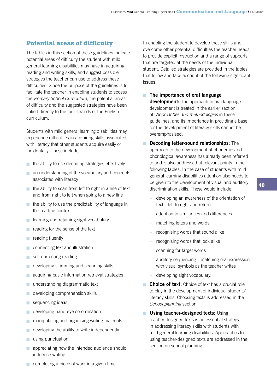# **Potential areas of difficulty**

The tables in this section of these guidelines indicate potential areas of difficulty the student with mild general learning disabilities may have in acquiring reading and writing skills, and suggest possible strategies the teacher can use to address these difficulties. Since the purpose of the guidelines is to facilitate the teacher in enabling students to access the *Primary School Curriculum*, the potential areas of difficulty and the suggested strategies have been linked directly to the four strands of the English curriculum.

Students with mild general learning disabilities may experience difficulties in acquiring skills associated with literacy that other students acquire easily or incidentally. These include

- the ability to use decoding strategies effectively
- an understanding of the vocabulary and concepts associated with literacy
- $\blacksquare$  the ability to scan from left to right in a line of text and from right to left when going to a new line
- $\blacksquare$  the ability to use the predictability of language in the reading context
- **Externing and retaining sight vocabulary**
- reading for the sense of the text n
- reading fluently n
- connecting text and illustration n
- self-correcting reading n
- developing skimming and scanning skills n
- acquiring basic information retrieval strategies n
- understanding diagrammatic text n
- developing comprehension skills n
- sequencing ideas n
- developing hand-eye co-ordination n
- manipulating and organising writing materials n
- developing the ability to write independently n
- using punctuation n
- **n** appreciating how the intended audience should influence writing

In enabling the student to develop these skills and overcome other potential difficulties the teacher needs to provide explicit instruction and a range of supports that are targeted at the needs of the individual student. Detailed strategies are provided in the tables that follow and take account of the following significant issues:

- **The importance of oral language development:** The approach to oral language development is treated in the earlier section of *Approaches and methodologies* in these guidelines, and its importance in providing a base for the development of literacy skills cannot be overemphasised.
- **n** Decoding letter-sound relationships: The approach to the development of phonemic and phonological awareness has already been referred to and is also addressed at relevant points in the following tables. In the case of students with mild general learning disabilities attention also needs to be given to the development of visual and auditory discrimination skills. These would include
	- developing an awareness of the orientation of text—left to right and return

**40**

- attention to similarities and differences
- matching letters and words
- recognising words that sound alike
- recognising words that look alike
- scanning for target words
- auditory sequencing—matching oral expression with visual symbols as the teacher writes
- developing sight vocabulary.
- **Choice of text:** Choice of text has a crucial role to play in the development of individual students' literacy skills. Choosing texts is addressed in the *School planning* section.
- **I** Using teacher-designed texts: Using teacher-designed texts is an essential strategy in addressing literacy skills with students with mild general learning disabilities. Approaches to using teacher-designed texts are addressed in the section on school planning.
- $\blacksquare$  completing a piece of work in a given time.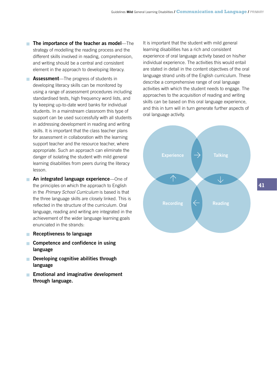- **The importance of the teacher as model**—The strategy of modelling the reading process and the different skills involved in reading, comprehension, and writing should be a central and consistent element in the approach to developing literacy.
- **Assessment**—The progress of students in developing literacy skills can be monitored by using a range of assessment procedures including standardised tests, high frequency word lists, and by keeping up-to-date word banks for individual students. In a mainstream classroom this type of support can be used successfully with all students in addressing development in reading and writing skills. It is important that the class teacher plans for assessment in collaboration with the learning support teacher and the resource teacher, where appropriate. Such an approach can eliminate the danger of isolating the student with mild general learning disabilities from peers during the literacy lesson.
- **An integrated language experience**—One of the principles on which the approach to English in the *Primary School Curriculum* is based is that the three language skills are closely linked. This is reflected in the structure of the curriculum. Oral language, reading and writing are integrated in the achievement of the wider language learning goals enunciated in the strands:
- **Receptiveness to language**
- **Competence and confidence in using language**
- **n** Developing cognitive abilities through **language**
- **Emotional and imaginative development through language.**

It is important that the student with mild general learning disabilities has a rich and consistent experience of oral language activity based on his/her individual experience. The activities this would entail are stated in detail in the content objectives of the oral language strand units of the English curriculum. These describe a comprehensive range of oral language activities with which the student needs to engage. The approaches to the acquisition of reading and writing skills can be based on this oral language experience, and this in turn will in turn generate further aspects of oral language activity.

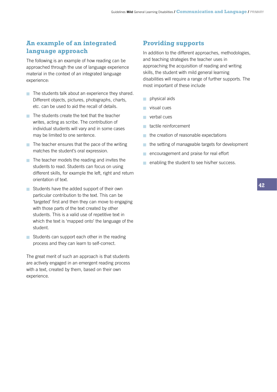# **An example of an integrated language approach**

The following is an example of how reading can be approached through the use of language experience material in the context of an integrated language experience:

- $\blacksquare$  The students talk about an experience they shared. Different objects, pictures, photographs, charts, etc. can be used to aid the recall of details.
- $\blacksquare$  The students create the text that the teacher writes, acting as scribe. The contribution of individual students will vary and in some cases may be limited to one sentence.
- $\blacksquare$  The teacher ensures that the pace of the writing matches the student's oral expression.
- $\blacksquare$  The teacher models the reading and invites the students to read. Students can focus on using different skills, for example the left, right and return orientation of text.
- Students have the added support of their own particular contribution to the text. This can be 'targeted' first and then they can move to engaging with those parts of the text created by other students. This is a valid use of repetitive text in which the text is 'mapped onto' the language of the student.
- Students can support each other in the reading process and they can learn to self-correct.

The great merit of such an approach is that students are actively engaged in an emergent reading process with a text, created by them, based on their own experience.

# **Providing supports**

In addition to the different approaches, methodologies, and teaching strategies the teacher uses in approaching the acquisition of reading and writing skills, the student with mild general learning disabilities will require a range of further supports. The most important of these include

- physical aids n
- visual cues n
- verbal cues
- **n** tactile reinforcement
- $\blacksquare$  the creation of reasonable expectations
- the setting of manageable targets for development n
- encouragement and praise for real effort n
- $\blacksquare$  enabling the student to see his/her success.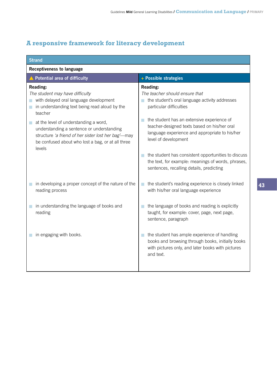# **A responsive framework for literacy development**

| <b>Strand</b>                                                                                                                                                                                                                                                                                                                                                                               |                                                                                                                                                                                                                                                                                                                                                                                                                                                                                         |
|---------------------------------------------------------------------------------------------------------------------------------------------------------------------------------------------------------------------------------------------------------------------------------------------------------------------------------------------------------------------------------------------|-----------------------------------------------------------------------------------------------------------------------------------------------------------------------------------------------------------------------------------------------------------------------------------------------------------------------------------------------------------------------------------------------------------------------------------------------------------------------------------------|
| <b>Receptiveness to language</b>                                                                                                                                                                                                                                                                                                                                                            |                                                                                                                                                                                                                                                                                                                                                                                                                                                                                         |
| ▲ Potential area of difficulty                                                                                                                                                                                                                                                                                                                                                              | + Possible strategies                                                                                                                                                                                                                                                                                                                                                                                                                                                                   |
| Reading:<br>The student may have difficulty<br>with delayed oral language development<br>$\blacksquare$<br>in understanding text being read aloud by the<br>a.<br>teacher<br>at the level of understanding a word,<br>m.<br>understanding a sentence or understanding<br>structure 'a friend of her sister lost her bag'-may<br>be confused about who lost a bag, or at all three<br>levels | <b>Reading:</b><br>The teacher should ensure that<br>the student's oral language activity addresses<br>particular difficulties<br>the student has an extensive experience of<br><b>College</b><br>teacher-designed texts based on his/her oral<br>language experience and appropriate to his/her<br>level of development<br>the student has consistent opportunities to discuss<br>a.<br>the text, for example: meanings of words, phrases,<br>sentences, recalling details, predicting |
| in developing a proper concept of the nature of the<br>reading process                                                                                                                                                                                                                                                                                                                      | the student's reading experience is closely linked<br>a.<br>with his/her oral language experience                                                                                                                                                                                                                                                                                                                                                                                       |
| in understanding the language of books and<br>$\Box$<br>reading                                                                                                                                                                                                                                                                                                                             | the language of books and reading is explicitly<br><b>College</b><br>taught, for example: cover, page, next page,<br>sentence, paragraph                                                                                                                                                                                                                                                                                                                                                |
| in engaging with books.                                                                                                                                                                                                                                                                                                                                                                     | the student has ample experience of handling<br><b>College</b><br>books and browsing through books, initially books<br>with pictures only, and later books with pictures<br>and text.                                                                                                                                                                                                                                                                                                   |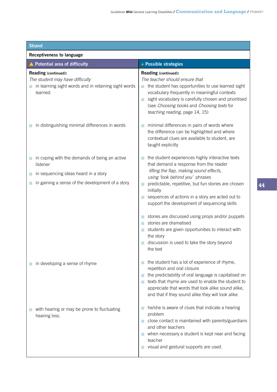| <b>Strand</b>                                                                                                                                         |                                                                                                                                                                                                                                                                                                                                                                                                                                                                                                                                                                   |  |
|-------------------------------------------------------------------------------------------------------------------------------------------------------|-------------------------------------------------------------------------------------------------------------------------------------------------------------------------------------------------------------------------------------------------------------------------------------------------------------------------------------------------------------------------------------------------------------------------------------------------------------------------------------------------------------------------------------------------------------------|--|
| <b>Receptiveness to language</b>                                                                                                                      |                                                                                                                                                                                                                                                                                                                                                                                                                                                                                                                                                                   |  |
| ▲ Potential area of difficulty                                                                                                                        | + Possible strategies                                                                                                                                                                                                                                                                                                                                                                                                                                                                                                                                             |  |
| Reading (continued):<br>The student may have difficulty<br>in learning sight words and in retaining sight words<br>learned                            | Reading (continued):<br>The teacher should ensure that<br>the student has opportunities to use learned sight<br>a.<br>vocabulary frequently in meaningful contexts<br>sight vocabulary is carefully chosen and prioritised<br>(see Choosing books and Choosing texts for<br>teaching reading, page 14, 15)                                                                                                                                                                                                                                                        |  |
| in distinguishing minimal differences in words                                                                                                        | minimal differences in pairs of words where<br>the difference can be highlighted and where<br>contextual clues are available to student, are<br>taught explicitly                                                                                                                                                                                                                                                                                                                                                                                                 |  |
| in coping with the demands of being an active<br>listener<br>in sequencing ideas heard in a story<br>in gaining a sense of the development of a story | the student experiences highly interactive texts<br>that demand a response from the reader<br>lifting the flap, making sound effects,<br>using 'look behind you' phrases<br>predictable, repetitive, but fun stories are chosen<br>initially<br>sequences of actions in a story are acted out to<br>m.<br>support the development of sequencing skills<br>stories are discussed using props and/or puppets<br>stories are dramatised<br>students are given opportunities to interact with<br>the story<br>discussion is used to take the story beyond<br>the text |  |
| in developing a sense of rhyme                                                                                                                        | the student has a lot of experience of rhyme,<br>repetition and oral closure<br>the predictability of oral language is capitalised on<br>texts that rhyme are used to enable the student to<br>appreciate that words that look alike sound alike,<br>and that if they sound alike they will look alike                                                                                                                                                                                                                                                            |  |
| with hearing or may be prone to fluctuating<br>hearing loss.                                                                                          | he/she is aware of clues that indicate a hearing<br>problem<br>close contact is maintained with parents/guardians<br>and other teachers<br>when necessary a student is kept near and facing<br>teacher<br>visual and gestural supports are used.                                                                                                                                                                                                                                                                                                                  |  |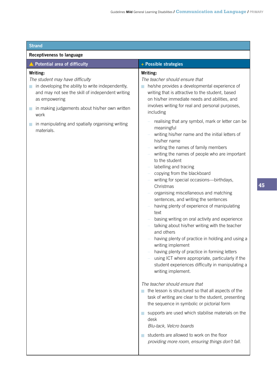| <b>Strand</b>                                                                                                                                                                                                                                                                                           |                                                                                                                                                                                                                                                                                                                                                                                                                                                                                                                                                                                                                                                                                                                                                                                                                                                                                                                                                                                                                                                                                                                                                                                                                                                                                                                                                                                                                                                                                                                                             |  |
|---------------------------------------------------------------------------------------------------------------------------------------------------------------------------------------------------------------------------------------------------------------------------------------------------------|---------------------------------------------------------------------------------------------------------------------------------------------------------------------------------------------------------------------------------------------------------------------------------------------------------------------------------------------------------------------------------------------------------------------------------------------------------------------------------------------------------------------------------------------------------------------------------------------------------------------------------------------------------------------------------------------------------------------------------------------------------------------------------------------------------------------------------------------------------------------------------------------------------------------------------------------------------------------------------------------------------------------------------------------------------------------------------------------------------------------------------------------------------------------------------------------------------------------------------------------------------------------------------------------------------------------------------------------------------------------------------------------------------------------------------------------------------------------------------------------------------------------------------------------|--|
| <b>Receptiveness to language</b>                                                                                                                                                                                                                                                                        |                                                                                                                                                                                                                                                                                                                                                                                                                                                                                                                                                                                                                                                                                                                                                                                                                                                                                                                                                                                                                                                                                                                                                                                                                                                                                                                                                                                                                                                                                                                                             |  |
| ▲ Potential area of difficulty                                                                                                                                                                                                                                                                          | + Possible strategies                                                                                                                                                                                                                                                                                                                                                                                                                                                                                                                                                                                                                                                                                                                                                                                                                                                                                                                                                                                                                                                                                                                                                                                                                                                                                                                                                                                                                                                                                                                       |  |
| Writing:<br>The student may have difficulty<br>in developing the ability to write independently,<br>and may not see the skill of independent writing<br>as empowering<br>in making judgements about his/her own written<br>work<br>in manipulating and spatially organising writing<br>r.<br>materials. | Writing:<br>The teacher should ensure that<br>he/she provides a developmental experience of<br>writing that is attractive to the student, based<br>on his/her immediate needs and abilities, and<br>involves writing for real and personal purposes,<br>including<br>realising that any symbol, mark or letter can be<br>meaningful<br>writing his/her name and the initial letters of<br>his/her name<br>writing the names of family members<br>writing the names of people who are important<br>to the student<br>labelling and tracing<br>copying from the blackboard<br>writing for special occasions-birthdays,<br>Christmas<br>organising miscellaneous and matching<br>sentences, and writing the sentences<br>having plenty of experience of manipulating<br>text<br>basing writing on oral activity and experience<br>talking about his/her writing with the teacher<br>and others<br>having plenty of practice in holding and using a<br>writing implement<br>having plenty of practice in forming letters<br>using ICT where appropriate, particularly if the<br>student experiences difficulty in manipulating a<br>writing implement.<br>The teacher should ensure that<br>the lesson is structured so that all aspects of the<br>task of writing are clear to the student, presenting<br>the sequence in symbolic or pictorial form<br>supports are used which stabilise materials on the<br>desk<br>Blu-tack, Velcro boards<br>students are allowed to work on the floor<br>providing more room, ensuring things don't fall. |  |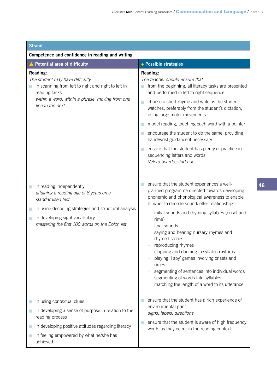| <b>Strand</b>                                                                                                                                                                                                                              |                                                                                                                                                                                                                                                                                                                                                                                                                                                                                                                                                                                                        |  |
|--------------------------------------------------------------------------------------------------------------------------------------------------------------------------------------------------------------------------------------------|--------------------------------------------------------------------------------------------------------------------------------------------------------------------------------------------------------------------------------------------------------------------------------------------------------------------------------------------------------------------------------------------------------------------------------------------------------------------------------------------------------------------------------------------------------------------------------------------------------|--|
| Competence and confidence in reading and writing                                                                                                                                                                                           |                                                                                                                                                                                                                                                                                                                                                                                                                                                                                                                                                                                                        |  |
| <b>Potential area of difficulty</b>                                                                                                                                                                                                        | + Possible strategies                                                                                                                                                                                                                                                                                                                                                                                                                                                                                                                                                                                  |  |
| Reading:<br>The student may have difficulty<br>in scanning from left to right and right to left in<br>reading tasks<br>within a word, within a phrase, moving from one<br>line to the next                                                 | <b>Reading:</b><br>The teacher should ensure that<br>from the beginning, all literacy tasks are presented<br>and performed in left to right sequence<br>choose a short rhyme and write as the student<br>L.<br>watches, preferably from the student's dictation,<br>using large motor movements<br>model reading, touching each word with a pointer<br>encourage the student to do the same, providing<br>$\sim$<br>hand/wrist guidance if necessary<br>ensure that the student has plenty of practice in<br>sequencing letters and words<br>Velcro boards, start cues                                 |  |
| in reading independently<br>attaining a reading age of 8 years on a<br>standardised test<br>in using decoding strategies and structural analysis<br>in developing sight vocabulary<br>T<br>mastering the first 100 words on the Dolch list | ensure that the student experiences a well-<br>planned programme directed towards developing<br>phonemic and phonological awareness to enable<br>him/her to decode sound/letter relationships<br>initial sounds and rhyming syllables (onset and<br>rime)<br>final sounds<br>saying and hearing nursery rhymes and<br>rhymed stories<br>reproducing rhymes<br>clapping and dancing to syllabic rhythms<br>playing 'I spy' games involving onsets and<br>rimes<br>segmenting of sentences into individual words<br>segmenting of words into syllables<br>matching the length of a word to its utterance |  |
| in using contextual clues<br>in developing a sense of purpose in relation to the<br>reading process<br>in developing positive attitudes regarding literacy<br>in feeling empowered by what he/she has<br>achieved.                         | ensure that the student has a rich experience of<br>environmental print<br>signs, labels, directions<br>ensure that the student is aware of high frequency<br>words as they occur in the reading context.                                                                                                                                                                                                                                                                                                                                                                                              |  |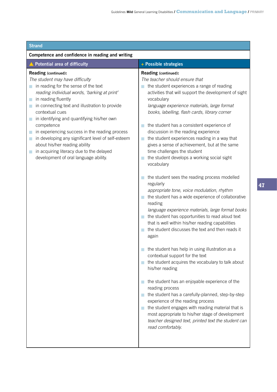| <b>Strand</b>                                                                                                                                                                                                                                                                                                                                                                                                                                                                                                                                                |                                                                                                                                                                                                                                                                                                                                                                                                                                                                                                                                                                                                                                                                                                                                                                                                                                                                                                                                                                                                                                                                                                                                                                                                                                                                                                                                                                                                                                                                                          |
|--------------------------------------------------------------------------------------------------------------------------------------------------------------------------------------------------------------------------------------------------------------------------------------------------------------------------------------------------------------------------------------------------------------------------------------------------------------------------------------------------------------------------------------------------------------|------------------------------------------------------------------------------------------------------------------------------------------------------------------------------------------------------------------------------------------------------------------------------------------------------------------------------------------------------------------------------------------------------------------------------------------------------------------------------------------------------------------------------------------------------------------------------------------------------------------------------------------------------------------------------------------------------------------------------------------------------------------------------------------------------------------------------------------------------------------------------------------------------------------------------------------------------------------------------------------------------------------------------------------------------------------------------------------------------------------------------------------------------------------------------------------------------------------------------------------------------------------------------------------------------------------------------------------------------------------------------------------------------------------------------------------------------------------------------------------|
| Competence and confidence in reading and writing                                                                                                                                                                                                                                                                                                                                                                                                                                                                                                             |                                                                                                                                                                                                                                                                                                                                                                                                                                                                                                                                                                                                                                                                                                                                                                                                                                                                                                                                                                                                                                                                                                                                                                                                                                                                                                                                                                                                                                                                                          |
| ▲ Potential area of difficulty                                                                                                                                                                                                                                                                                                                                                                                                                                                                                                                               | + Possible strategies                                                                                                                                                                                                                                                                                                                                                                                                                                                                                                                                                                                                                                                                                                                                                                                                                                                                                                                                                                                                                                                                                                                                                                                                                                                                                                                                                                                                                                                                    |
| Reading (continued):<br>The student may have difficulty<br>in reading for the sense of the text<br>reading individual words, 'barking at print'<br>in reading fluently<br>a.<br>in connecting text and illustration to provide<br>contextual cues<br>in identifying and quantifying his/her own<br>competence<br>in experiencing success in the reading process<br>ш<br>in developing any significant level of self-esteem<br>L.<br>about his/her reading ability<br>in acquiring literacy due to the delayed<br>m,<br>development of oral language ability. | Reading (continued):<br>The teacher should ensure that<br>the student experiences a range of reading<br>activities that will support the development of sight<br>vocabulary<br>language experience materials, large format<br>books, labelling, flash cards, library corner<br>the student has a consistent experience of<br>discussion in the reading experience<br>the student experiences reading in a way that<br>gives a sense of achievement, but at the same<br>time challenges the student<br>the student develops a working social sight<br>vocabulary<br>the student sees the reading process modelled<br>regularly<br>appropriate tone, voice modulation, rhythm<br>the student has a wide experience of collaborative<br>reading<br>language experience materials, large format books<br>the student has opportunities to read aloud text<br>that is well within his/her reading capabilities<br>the student discusses the text and then reads it<br>again<br>the student has help in using illustration as a<br>contextual support for the text<br>the student acquires the vocabulary to talk about<br>his/her reading<br>the student has an enjoyable experience of the<br>reading process<br>the student has a carefully-planned, step-by-step<br>experience of the reading process<br>the student engages with reading material that is<br>most appropriate to his/her stage of development<br>teacher designed text, printed text the student can<br>read comfortably. |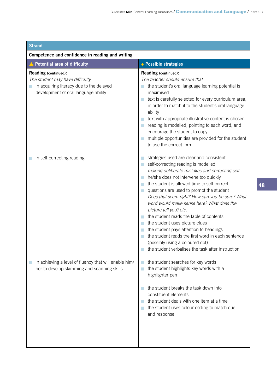| <b>Strand</b> |  |  |
|---------------|--|--|
|               |  |  |
|               |  |  |

| Competence and confidence in reading and writing                                                                                                      |                                                                                                                                                                                                                                                                                                                                                                                                                                                                                                                                                                                                                                                                                       |  |
|-------------------------------------------------------------------------------------------------------------------------------------------------------|---------------------------------------------------------------------------------------------------------------------------------------------------------------------------------------------------------------------------------------------------------------------------------------------------------------------------------------------------------------------------------------------------------------------------------------------------------------------------------------------------------------------------------------------------------------------------------------------------------------------------------------------------------------------------------------|--|
| ▲ Potential area of difficulty                                                                                                                        | + Possible strategies                                                                                                                                                                                                                                                                                                                                                                                                                                                                                                                                                                                                                                                                 |  |
| Reading (continued):<br>The student may have difficulty<br>in acquiring literacy due to the delayed<br>$\Box$<br>development of oral language ability | Reading (continued):<br>The teacher should ensure that<br>the student's oral language learning potential is<br>maximised<br>text is carefully selected for every curriculum area,<br>in order to match it to the student's oral language<br>ability<br>text with appropriate illustrative content is chosen<br>reading is modelled, pointing to each word, and<br>encourage the student to copy<br>multiple opportunities are provided for the student<br>to use the correct form                                                                                                                                                                                                     |  |
| in self-correcting reading                                                                                                                            | strategies used are clear and consistent<br>self-correcting reading is modelled<br>a l<br>making deliberate mistakes and correcting self<br>he/she does not intervene too quickly<br>the student is allowed time to self-correct<br>m<br>questions are used to prompt the student<br>Does that seem right? How can you be sure? What<br>word would make sense here? What does the<br>picture tell you? etc.<br>the student reads the table of contents<br>the student uses picture clues<br>r.<br>the student pays attention to headings<br>the student reads the first word in each sentence<br>(possibly using a coloured dot)<br>the student verbalises the task after instruction |  |
| in achieving a level of fluency that will enable him/<br>her to develop skimming and scanning skills.                                                 | the student searches for key words<br>the student highlights key words with a<br>highlighter pen<br>the student breaks the task down into<br>constituent elements<br>the student deals with one item at a time<br>the student uses colour coding to match cue<br>and response.                                                                                                                                                                                                                                                                                                                                                                                                        |  |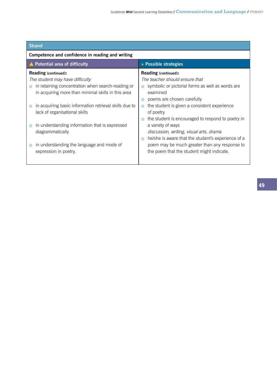| <b>Strand</b>                                                                                                                                                                                                                                                                                                                                                                                                    |                                                                                                                                                                                                                                                                                                                                                                                                                                                                                                         |
|------------------------------------------------------------------------------------------------------------------------------------------------------------------------------------------------------------------------------------------------------------------------------------------------------------------------------------------------------------------------------------------------------------------|---------------------------------------------------------------------------------------------------------------------------------------------------------------------------------------------------------------------------------------------------------------------------------------------------------------------------------------------------------------------------------------------------------------------------------------------------------------------------------------------------------|
| Competence and confidence in reading and writing                                                                                                                                                                                                                                                                                                                                                                 |                                                                                                                                                                                                                                                                                                                                                                                                                                                                                                         |
| ▲ Potential area of difficulty                                                                                                                                                                                                                                                                                                                                                                                   | + Possible strategies                                                                                                                                                                                                                                                                                                                                                                                                                                                                                   |
| <b>Reading (continued):</b><br>The student may have difficulty<br>in retaining concentration when search-reading or<br>in acquiring more than minimal skills in this area<br>in acquiring basic information retrieval skills due to<br>lack of organisational skills<br>in understanding information that is expressed<br>diagrammatically<br>in understanding the language and mode of<br>expression in poetry. | <b>Reading (continued):</b><br>The teacher should ensure that<br>symbolic or pictorial forms as well as words are<br>examined<br>poems are chosen carefully<br>the student is given a consistent experience<br>n.<br>of poetry<br>the student is encouraged to respond to poetry in<br>a variety of ways<br>discussion, writing, visual arts, drama<br>he/she is aware that the student's experience of a<br>poem may be much greater than any response to<br>the poem that the student might indicate. |
|                                                                                                                                                                                                                                                                                                                                                                                                                  |                                                                                                                                                                                                                                                                                                                                                                                                                                                                                                         |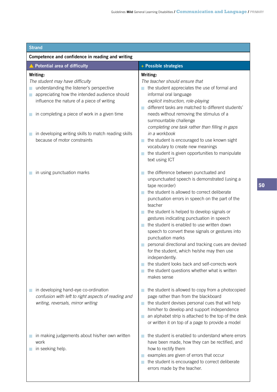| <b>Strand</b>                                                                                                                                                                                                                                                                                                                                          |                                                                                                                                                                                                                                                                                                                                                                                                                                                                                                                                                                                                                                                                                        |  |
|--------------------------------------------------------------------------------------------------------------------------------------------------------------------------------------------------------------------------------------------------------------------------------------------------------------------------------------------------------|----------------------------------------------------------------------------------------------------------------------------------------------------------------------------------------------------------------------------------------------------------------------------------------------------------------------------------------------------------------------------------------------------------------------------------------------------------------------------------------------------------------------------------------------------------------------------------------------------------------------------------------------------------------------------------------|--|
| Competence and confidence in reading and writing                                                                                                                                                                                                                                                                                                       |                                                                                                                                                                                                                                                                                                                                                                                                                                                                                                                                                                                                                                                                                        |  |
| <b>Potential area of difficulty</b>                                                                                                                                                                                                                                                                                                                    | + Possible strategies                                                                                                                                                                                                                                                                                                                                                                                                                                                                                                                                                                                                                                                                  |  |
| Writing:<br>The student may have difficulty<br>understanding the listener's perspective<br>appreciating how the intended audience should<br>П<br>influence the nature of a piece of writing<br>in completing a piece of work in a given time<br>in developing writing skills to match reading skills<br>$\blacksquare$<br>because of motor constraints | Writing:<br>The teacher should ensure that<br>the student appreciates the use of formal and<br>informal oral language<br>explicit instruction, role-playing<br>different tasks are matched to different students'<br>needs without removing the stimulus of a<br>surmountable challenge<br>completing one task rather than filling in gaps<br>in a workbook<br>the student is encouraged to use known sight<br>vocabulary to create new meanings<br>the student is given opportunities to manipulate<br>text using ICT                                                                                                                                                                 |  |
| in using punctuation marks                                                                                                                                                                                                                                                                                                                             | the difference between punctuated and<br>unpunctuated speech is demonstrated (using a<br>tape recorder)<br>the student is allowed to correct deliberate<br>punctuation errors in speech on the part of the<br>teacher<br>the student is helped to develop signals or<br>gestures indicating punctuation in speech<br>the student is enabled to use written down<br>speech to convert these signals or gestures into<br>punctuation marks<br>personal directional and tracking cues are devised<br>for the student, which he/she may then use<br>independently.<br>the student looks back and self-corrects work<br>the student questions whether what is written<br>a s<br>makes sense |  |
| in developing hand-eye co-ordination<br>confusion with left to right aspects of reading and<br>writing, reversals, mirror writing                                                                                                                                                                                                                      | the student is allowed to copy from a photocopied<br>page rather than from the blackboard<br>the student devises personal cues that will help<br>m,<br>him/her to develop and support independence<br>an alphabet strip is attached to the top of the desk<br>or written it on top of a page to provide a model                                                                                                                                                                                                                                                                                                                                                                        |  |
| in making judgements about his/her own written<br>work<br>in seeking help.                                                                                                                                                                                                                                                                             | the student is enabled to understand where errors<br>have been made, how they can be rectified, and<br>how to rectify them<br>examples are given of errors that occur<br>the student is encouraged to correct deliberate<br>errors made by the teacher.                                                                                                                                                                                                                                                                                                                                                                                                                                |  |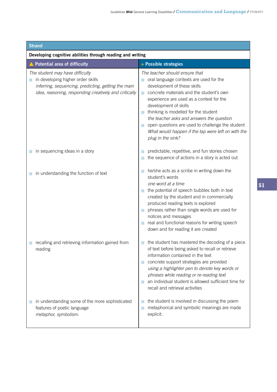| <b>Strand</b> |  |  |
|---------------|--|--|
|               |  |  |

| Developing cognitive abilities through reading and writing                                                                                                                           |                                                                                                                                                                                                                                                                                                                                                                                                                                                     |  |
|--------------------------------------------------------------------------------------------------------------------------------------------------------------------------------------|-----------------------------------------------------------------------------------------------------------------------------------------------------------------------------------------------------------------------------------------------------------------------------------------------------------------------------------------------------------------------------------------------------------------------------------------------------|--|
| <b>Potential area of difficulty</b>                                                                                                                                                  | + Possible strategies                                                                                                                                                                                                                                                                                                                                                                                                                               |  |
| The student may have difficulty<br>in developing higher order skills<br>inferring, sequencing, predicting, getting the main<br>idea, reasoning, responding creatively and critically | The teacher should ensure that<br>oral language contexts are used for the<br>development of these skills<br>concrete materials and the student's own<br>m.<br>experience are used as a context for the<br>development of skills<br>thinking is modelled for the student<br>the teacher asks and answers the question<br>open questions are used to challenge the student<br>What would happen if the tap were left on with the<br>plug in the sink? |  |
| in sequencing ideas in a story                                                                                                                                                       | predictable, repetitive, and fun stories chosen<br>the sequence of actions in a story is acted out                                                                                                                                                                                                                                                                                                                                                  |  |
| in understanding the function of text                                                                                                                                                | he/she acts as a scribe in writing down the<br>student's words<br>one word at a time<br>the potential of speech bubbles both in text<br>created by the student and in commercially<br>produced reading texts is explored<br>phrases rather than single words are used for<br>notices and messages<br>real and functional reasons for writing speech<br>down and for reading it are created                                                          |  |
| recalling and retrieving information gained from<br>reading                                                                                                                          | the student has mastered the decoding of a piece<br>of text before being asked to recall or retrieve<br>information contained in the text<br>concrete support strategies are provided<br>using a highlighter pen to denote key words or<br>phrases while reading or re-reading text<br>an individual student is allowed sufficient time for<br>recall and retrieval activities                                                                      |  |
| in understanding some of the more sophisticated<br>features of poetic language<br>metaphor, symbolism.                                                                               | the student is involved in discussing the poem<br>metaphorical and symbolic meanings are made<br>explicit.                                                                                                                                                                                                                                                                                                                                          |  |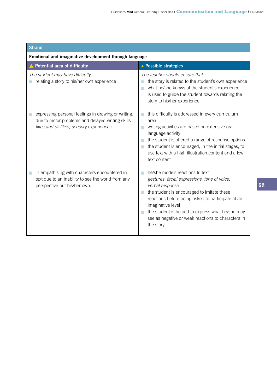| <b>Strand</b>                                                                                                                                      |                                                                                                                                                                                                                                                                                                                                                          |  |
|----------------------------------------------------------------------------------------------------------------------------------------------------|----------------------------------------------------------------------------------------------------------------------------------------------------------------------------------------------------------------------------------------------------------------------------------------------------------------------------------------------------------|--|
| Emotional and imaginative development through language                                                                                             |                                                                                                                                                                                                                                                                                                                                                          |  |
| <b>Potential area of difficulty</b>                                                                                                                | + Possible strategies                                                                                                                                                                                                                                                                                                                                    |  |
| The student may have difficulty<br>relating a story to his/her own experience                                                                      | The teacher should ensure that<br>the story is related to the student's own experience<br>what he/she knows of the student's experience<br>is used to guide the student towards relating the<br>story to his/her experience                                                                                                                              |  |
| expressing personal feelings in drawing or writing,<br>due to motor problems and delayed writing skills<br>likes and dislikes, sensory experiences | this difficulty is addressed in every curriculum<br>area<br>writing activities are based on extensive oral<br>language activity<br>the student is offered a range of response options<br>the student is encouraged, in the initial stages, to<br>T.<br>use text with a high illustration content and a low<br>text content                               |  |
| in empathising with characters encountered in<br>text due to an inability to see the world from any<br>perspective but his/her own.                | he/she models reactions to text<br>gestures, facial expressions, tone of voice,<br>verbal response<br>the student is encouraged to imitate these<br>T.<br>reactions before being asked to participate at an<br>imaginative level<br>the student is helped to express what he/she may<br>see as negative or weak reactions to characters in<br>the story. |  |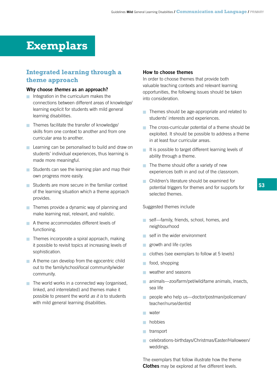# **Exemplars**

# **Integrated learning through a theme approach**

### **Why choose** *themes* **as an approach?**

- Integration in the curriculum makes the connections between different areas of knowledge/ learning explicit for students with mild general learning disabilities.
- **Themes facilitate the transfer of knowledge/** skills from one context to another and from one curricular area to another.
- **E** Learning can be personalised to build and draw on students' individual experiences, thus learning is made more meaningful.
- Students can see the learning plan and map their own progress more easily.
- Students are more secure in the familiar context of the learning situation which a theme approach provides.
- $\blacksquare$  Themes provide a dynamic way of planning and make learning real, relevant, and realistic.
- A theme accommodates different levels of functioning.
- $\blacksquare$  Themes incorporate a spiral approach, making it possible to revisit topics at increasing levels of sophistication.
- $\blacksquare$  A theme can develop from the egocentric child out to the family/school/local community/wider community.
- $\blacksquare$  The world works in a connected way (organised, linked, and interrelated) and themes make it possible to present the world *as it is* to students with mild general learning disabilities.

#### **How to choose themes**

In order to choose themes that provide both valuable teaching contexts and relevant learning opportunities, the following issues should be taken into consideration.

- $\blacksquare$  Themes should be age-appropriate and related to students' interests and experiences.
- $\blacksquare$  The cross-curricular potential of a theme should be exploited. It should be possible to address a theme in at least four curricular areas.
- $\blacksquare$  It is possible to target different learning levels of ability through a theme.
- $\blacksquare$  The theme should offer a variety of new experiences both in and out of the classroom.
- **n** Children's literature should be examined for potential triggers for themes and for supports for selected themes.

#### Suggested themes include

- self-family, friends, school, homes, and neighbourhood
- $\blacksquare$  self in the wider environment
- **growth and life cycles**
- clothes (see exemplars to follow at 5 levels)
- **n** food, shopping
- **N** weather and seasons
- **n** animals—zoo/farm/pet/wild/tame animals, insects, sea life
- people who help us-doctor/postman/policeman/ teacher/nurse/dentist
- **N** water
- **nobbies**
- **n**transport
- celebrations-birthdays/Christmas/Easter/Halloween/ weddings.

The exemplars that follow illustrate how the theme **Clothes** may be explored at five different levels.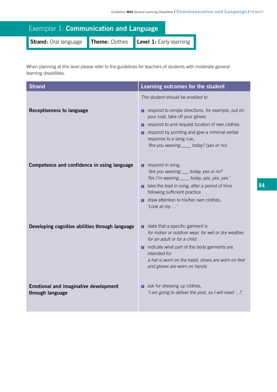| Exemplar 1: Communication and Language |  |                                        |
|----------------------------------------|--|----------------------------------------|
| Strand: Oral language                  |  | Theme: Clothes Level 1: Early learning |

When planning at this level please refer to the guidelines for teachers of students with moderate general learning disabilities.

| <b>Strand</b>                                                    | Learning outcomes for the student                                                                                                                                                                                                                                                         |
|------------------------------------------------------------------|-------------------------------------------------------------------------------------------------------------------------------------------------------------------------------------------------------------------------------------------------------------------------------------------|
| <b>Receptiveness to language</b>                                 | The student should be enabled to<br>respond to simple directions, for example, put on<br>your coat, take off your gloves<br>respond to and request location of own clothes<br>respond by pointing and give a minimal verbal                                                               |
|                                                                  | response to a song cue,<br>'Are you wearing ____ today? (yes or no)                                                                                                                                                                                                                       |
| Competence and confidence in using language                      | respond in song,<br>'Are you wearing ___ today, yes or no?<br>Yes I'm wearing ____ today, yes, yes, yes.'<br>$\blacksquare$ take the lead in song, after a period of time<br>following sufficient practice<br>draw attention to his/her own clothes,<br>'Look at my '                     |
| Developing cognitive abilities through language                  | $\blacksquare$ state that a specific garment is<br>for indoor or outdoor wear, for wet or dry weather,<br>for an adult or for a child<br>indicate what part of the body garments are<br>intended for<br>a hat is worn on the head, shoes are worn on feet<br>and gloves are worn on hands |
| <b>Emotional and imaginative development</b><br>through language | $\blacksquare$ ask for dressing up clothes,<br>'I am going to deliver the post, so I will need !'.                                                                                                                                                                                        |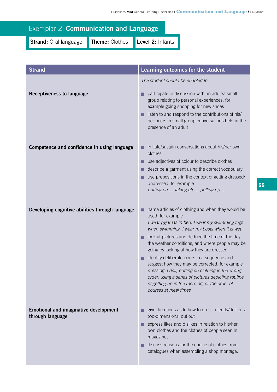# Exemplar 2: **Communication and Language**

**Strand:** Oral language **Theme:** Clothes **Level 2:** Infants

| <b>Strand</b>                                                    | Learning outcomes for the student                                                                                                                                                                                                                                          |  |
|------------------------------------------------------------------|----------------------------------------------------------------------------------------------------------------------------------------------------------------------------------------------------------------------------------------------------------------------------|--|
|                                                                  | The student should be enabled to                                                                                                                                                                                                                                           |  |
| <b>Receptiveness to language</b>                                 | participate in discussion with an adult/a small<br>group relating to personal experiences, for<br>example going shopping for new shoes<br>listen to and respond to the contributions of his/<br>her peers in small group conversations held in the<br>presence of an adult |  |
| Competence and confidence in using language                      | initiate/sustain conversations about his/her own<br>clothes                                                                                                                                                                                                                |  |
|                                                                  | use adjectives of colour to describe clothes                                                                                                                                                                                                                               |  |
|                                                                  | describe a garment using the correct vocabulary                                                                                                                                                                                                                            |  |
|                                                                  | use prepositions in the context of getting dressed/<br>undressed, for example                                                                                                                                                                                              |  |
|                                                                  | putting on  taking off  pulling up                                                                                                                                                                                                                                         |  |
|                                                                  |                                                                                                                                                                                                                                                                            |  |
| Developing cognitive abilities through language                  | name articles of clothing and when they would be<br>used, for example                                                                                                                                                                                                      |  |
|                                                                  | I wear pyjamas in bed, I wear my swimming togs<br>when swimming, I wear my boots when it is wet                                                                                                                                                                            |  |
|                                                                  | look at pictures and deduce the time of the day,<br>П                                                                                                                                                                                                                      |  |
|                                                                  | the weather conditions, and where people may be<br>going by looking at how they are dressed                                                                                                                                                                                |  |
|                                                                  | identify deliberate errors in a sequence and<br>п                                                                                                                                                                                                                          |  |
|                                                                  | suggest how they may be corrected, for example<br>dressing a doll, putting on clothing in the wrong                                                                                                                                                                        |  |
|                                                                  | order, using a series of pictures depicting routine                                                                                                                                                                                                                        |  |
|                                                                  | of getting up in the morning, or the order of<br>courses at meal times                                                                                                                                                                                                     |  |
|                                                                  |                                                                                                                                                                                                                                                                            |  |
| <b>Emotional and imaginative development</b><br>through language | give directions as to how to dress a teddy/doll or a<br>two-dimensional cut out                                                                                                                                                                                            |  |
|                                                                  | express likes and dislikes in relation to his/her<br>own clothes and the clothes of people seen in<br>magazines                                                                                                                                                            |  |
|                                                                  | discuss reasons for the choice of clothes from<br>catalogues when assembling a shop montage.                                                                                                                                                                               |  |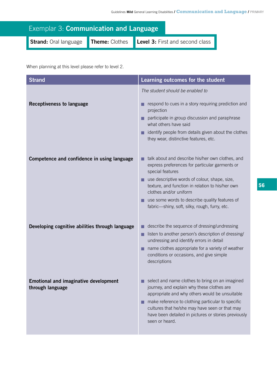| <b>Exemplar 3: Communication and Language</b> |  |                                                                      |
|-----------------------------------------------|--|----------------------------------------------------------------------|
|                                               |  | Strand: Oral language Theme: Clothes Level 3: First and second class |

When planning at this level please refer to level 2.

| <b>Strand</b>                                                    | Learning outcomes for the student                                                                                                                                                                                                                                                                                                |
|------------------------------------------------------------------|----------------------------------------------------------------------------------------------------------------------------------------------------------------------------------------------------------------------------------------------------------------------------------------------------------------------------------|
|                                                                  | The student should be enabled to                                                                                                                                                                                                                                                                                                 |
| <b>Receptiveness to language</b>                                 | respond to cues in a story requiring prediction and<br>projection<br>participate in group discussion and paraphrase<br>п<br>what others have said<br>identify people from details given about the clothes                                                                                                                        |
|                                                                  | they wear, distinctive features, etc.                                                                                                                                                                                                                                                                                            |
| Competence and confidence in using language                      | talk about and describe his/her own clothes, and<br>express preferences for particular garments or<br>special features                                                                                                                                                                                                           |
|                                                                  | $\blacksquare$ use descriptive words of colour, shape, size,<br>texture, and function in relation to his/her own<br>clothes and/or uniform                                                                                                                                                                                       |
|                                                                  | use some words to describe quality features of<br>fabric-shiny, soft, silky, rough, furry, etc.                                                                                                                                                                                                                                  |
| Developing cognitive abilities through language                  | describe the sequence of dressing/undressing                                                                                                                                                                                                                                                                                     |
|                                                                  | listen to another person's description of dressing/<br>п                                                                                                                                                                                                                                                                         |
|                                                                  | undressing and identify errors in detail<br>name clothes appropriate for a variety of weather<br>conditions or occasions, and give simple<br>descriptions                                                                                                                                                                        |
| <b>Emotional and imaginative development</b><br>through language | select and name clothes to bring on an imagined<br>journey, and explain why these clothes are<br>appropriate and why others would be unsuitable<br>make reference to clothing particular to specific<br>cultures that he/she may have seen or that may<br>have been detailed in pictures or stories previously<br>seen or heard. |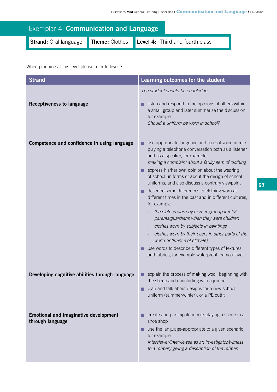| <b>Exemplar 4: Communication and Language</b> |  |  |                                                |
|-----------------------------------------------|--|--|------------------------------------------------|
| Strand: Oral language                         |  |  | Theme: Clothes Level 4: Third and fourth class |

When planning at this level please refer to level 3.

| <b>Strand</b>                                                    | Learning outcomes for the student                                                                                                                                                                                                                                                                                                                                                                                                                                                                                                                                                                                                                                                                                                                                                                                   |
|------------------------------------------------------------------|---------------------------------------------------------------------------------------------------------------------------------------------------------------------------------------------------------------------------------------------------------------------------------------------------------------------------------------------------------------------------------------------------------------------------------------------------------------------------------------------------------------------------------------------------------------------------------------------------------------------------------------------------------------------------------------------------------------------------------------------------------------------------------------------------------------------|
|                                                                  | The student should be enabled to                                                                                                                                                                                                                                                                                                                                                                                                                                                                                                                                                                                                                                                                                                                                                                                    |
| <b>Receptiveness to language</b>                                 | listen and respond to the opinions of others within<br>a small group and later summarise the discussion,<br>for example<br>Should a uniform be worn in school?                                                                                                                                                                                                                                                                                                                                                                                                                                                                                                                                                                                                                                                      |
| Competence and confidence in using language                      | use appropriate language and tone of voice in role-<br>playing a telephone conversation both as a listener<br>and as a speaker, for example<br>making a complaint about a faulty item of clothing<br>express his/her own opinion about the wearing<br>of school uniforms or about the design of school<br>uniforms, and also discuss a contrary viewpoint<br>describe some differences in clothing worn at<br>different times in the past and in different cultures,<br>for example<br>the clothes worn by his/her grandparents/<br>parents/guardians when they were children<br>clothes worn by subjects in paintings<br>clothes worn by their peers in other parts of the<br>world (influence of climate)<br>use words to describe different types of textures<br>and fabrics, for example waterproof, camouflage |
| Developing cognitive abilities through language                  | explain the process of making wool, beginning with<br>the sheep and concluding with a jumper<br>plan and talk about designs for a new school<br>uniform (summer/winter), or a PE outfit                                                                                                                                                                                                                                                                                                                                                                                                                                                                                                                                                                                                                             |
| <b>Emotional and imaginative development</b><br>through language | create and participate in role-playing a scene in a<br>shoe shop<br>use the language-appropriate to a given scenario,<br>for example<br>interviewer/interviewee as an investigator/witness<br>to a robbery giving a description of the robber.                                                                                                                                                                                                                                                                                                                                                                                                                                                                                                                                                                      |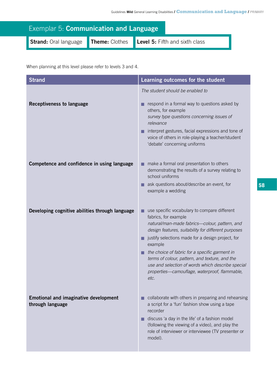| Exemplar 5: Communication and Language |  |                                               |
|----------------------------------------|--|-----------------------------------------------|
| Strand: Oral language                  |  | Theme: Clothes Level 5: Fifth and sixth class |

When planning at this level please refer to levels 3 and 4.

| <b>Strand</b>                                                    | Learning outcomes for the student                                                                                                                                                                                                                                                                                                                                                                                                                              |
|------------------------------------------------------------------|----------------------------------------------------------------------------------------------------------------------------------------------------------------------------------------------------------------------------------------------------------------------------------------------------------------------------------------------------------------------------------------------------------------------------------------------------------------|
| <b>Receptiveness to language</b>                                 | The student should be enabled to<br>respond in a formal way to questions asked by<br>others, for example<br>survey type questions concerning issues of<br>relevance<br>interpret gestures, facial expressions and tone of<br>voice of others in role-playing a teacher/student<br>'debate' concerning uniforms                                                                                                                                                 |
| Competence and confidence in using language                      | make a formal oral presentation to others<br>demonstrating the results of a survey relating to<br>school uniforms<br>ask questions about/describe an event, for<br>example a wedding                                                                                                                                                                                                                                                                           |
| Developing cognitive abilities through language                  | use specific vocabulary to compare different<br>fabrics, for example<br>natural/man-made fabrics-colour, pattern, and<br>design features, suitability for different purposes<br>justify selections made for a design project, for<br>example<br>the choice of fabric for a specific garment in<br>terms of colour, pattern, and texture, and the<br>use and selection of words which describe special<br>properties-camouflage, waterproof, flammable,<br>etc. |
| <b>Emotional and imaginative development</b><br>through language | collaborate with others in preparing and rehearsing<br>a script for a 'fun' fashion show using a tape<br>recorder<br>discuss 'a day in the life' of a fashion model<br>(following the viewing of a video), and play the<br>role of interviewer or interviewee (TV presenter or<br>model).                                                                                                                                                                      |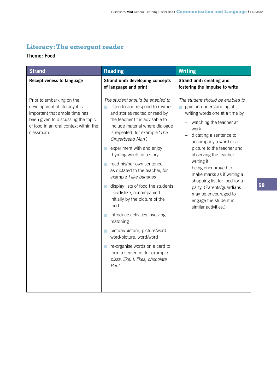# **Literacy: The emergent reader**

# **Theme: Food**

| <b>Strand</b>                                                                                                                                                                            | <b>Reading</b>                                                                                                                                                                                                                                                                                                                                                                                                                                                                                                                                                                                                                                                                                                                                                                                                                           | <b>Writing</b>                                                                                                                                                                                                                                                                                                                                                                                                                                                                       |
|------------------------------------------------------------------------------------------------------------------------------------------------------------------------------------------|------------------------------------------------------------------------------------------------------------------------------------------------------------------------------------------------------------------------------------------------------------------------------------------------------------------------------------------------------------------------------------------------------------------------------------------------------------------------------------------------------------------------------------------------------------------------------------------------------------------------------------------------------------------------------------------------------------------------------------------------------------------------------------------------------------------------------------------|--------------------------------------------------------------------------------------------------------------------------------------------------------------------------------------------------------------------------------------------------------------------------------------------------------------------------------------------------------------------------------------------------------------------------------------------------------------------------------------|
| <b>Receptiveness to language</b>                                                                                                                                                         | Strand unit: developing concepts<br>of language and print                                                                                                                                                                                                                                                                                                                                                                                                                                                                                                                                                                                                                                                                                                                                                                                | Strand unit: creating and<br>fostering the impulse to write                                                                                                                                                                                                                                                                                                                                                                                                                          |
| Prior to embarking on the<br>development of literacy it is<br>important that ample time has<br>been given to discussing the topic<br>of food in an oral context within the<br>classroom. | The student should be enabled to<br>listen to and respond to rhymes<br>$\mathcal{L}_{\rm{max}}$<br>and stories recited or read by<br>the teacher (it is advisable to<br>include material where dialogue<br>is repeated, for example 'The<br>Gingerbread Man')<br>experiment with and enjoy<br><b>Tale</b><br>rhyming words in a story<br>read his/her own sentence<br>a a<br>as dictated to the teacher, for<br>example I like bananas<br>display lists of food the students<br><b>College</b><br>like/dislike, accompanied<br>initially by the picture of the<br>food<br>introduce activities involving<br>a.<br>matching<br>picture/picture, picture/word,<br>a.<br>word/picture, word/word<br>re-organise words on a card to<br>$\mathcal{L}_{\rm{max}}$<br>form a sentence, for example<br>pizza, like, I, likes, chocolate<br>Paul. | The student should be enabled to<br>gain an understanding of<br>$\mathcal{L}_{\mathcal{A}}$<br>writing words one at a time by<br>watching the teacher at<br>work<br>dictating a sentence to<br>accompany a word or a<br>picture to the teacher and<br>observing the teacher<br>writing it<br>being encouraged to<br>make marks as if writing a<br>shopping list for food for a<br>party. (Parents/guardians<br>may be encouraged to<br>engage the student in<br>similar activities.) |
|                                                                                                                                                                                          |                                                                                                                                                                                                                                                                                                                                                                                                                                                                                                                                                                                                                                                                                                                                                                                                                                          |                                                                                                                                                                                                                                                                                                                                                                                                                                                                                      |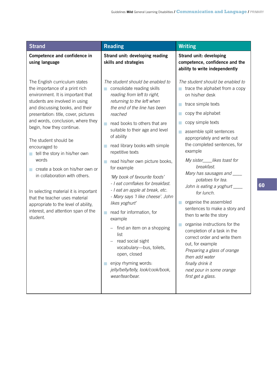| <b>Strand</b>                                                                                                                                                                                                                                                                                                                                                                                                                                                                                                                                                                                                                             | <b>Reading</b>                                                                                                                                                                                                                                                                                                                                                                                                                                                                                                                                                                                                                                                                                                                                                                                      | <b>Writing</b>                                                                                                                                                                                                                                                                                                                                                                                                                                                                                                                                                                                                                                                                                                                                                     |
|-------------------------------------------------------------------------------------------------------------------------------------------------------------------------------------------------------------------------------------------------------------------------------------------------------------------------------------------------------------------------------------------------------------------------------------------------------------------------------------------------------------------------------------------------------------------------------------------------------------------------------------------|-----------------------------------------------------------------------------------------------------------------------------------------------------------------------------------------------------------------------------------------------------------------------------------------------------------------------------------------------------------------------------------------------------------------------------------------------------------------------------------------------------------------------------------------------------------------------------------------------------------------------------------------------------------------------------------------------------------------------------------------------------------------------------------------------------|--------------------------------------------------------------------------------------------------------------------------------------------------------------------------------------------------------------------------------------------------------------------------------------------------------------------------------------------------------------------------------------------------------------------------------------------------------------------------------------------------------------------------------------------------------------------------------------------------------------------------------------------------------------------------------------------------------------------------------------------------------------------|
| Competence and confidence in<br>using language                                                                                                                                                                                                                                                                                                                                                                                                                                                                                                                                                                                            | Strand unit: developing reading<br>skills and strategies                                                                                                                                                                                                                                                                                                                                                                                                                                                                                                                                                                                                                                                                                                                                            | Strand unit: developing<br>competence, confidence and the<br>ability to write independently                                                                                                                                                                                                                                                                                                                                                                                                                                                                                                                                                                                                                                                                        |
| The English curriculum states<br>the importance of a print rich<br>environment. It is important that<br>students are involved in using<br>and discussing books, and their<br>presentation: title, cover, pictures<br>and words, conclusion, where they<br>begin, how they continue.<br>The student should be<br>encouraged to<br>tell the story in his/her own<br>a.<br>words<br>create a book on his/her own or<br><b>College</b><br>in collaboration with others.<br>In selecting material it is important<br>that the teacher uses material<br>appropriate to the level of ability,<br>interest, and attention span of the<br>student. | The student should be enabled to<br>consolidate reading skills<br>m.<br>reading from left to right,<br>returning to the left when<br>the end of the line has been<br>reached<br>read books to others that are<br>a.<br>suitable to their age and level<br>of ability<br>read library books with simple<br>a.<br>repetitive texts<br>read his/her own picture books,<br>m.<br>for example<br>'My book of favourite foods'<br>- I eat cornflakes for breakfast.<br>- I eat an apple at break, etc.<br>- Mary says 'I like cheese'. John<br>likes yoghurt'<br>read for information, for<br>m.<br>example<br>find an item on a shopping<br>list<br>read social sight<br>vocabulary-bus, toilets,<br>open, closed<br>enjoy rhyming words:<br>a.<br>jelly/belly/telly, look/cook/book,<br>wear/tear/bear. | The student should be enabled to<br>trace the alphabet from a copy<br>on his/her desk<br>trace simple texts<br>copy the alphabet<br>П<br>copy simple texts<br>П<br>assemble split sentences<br>appropriately and write out<br>the completed sentences, for<br>example<br>My sister____likes toast for<br>breakfast.<br>Mary has sausages and _____<br>potatoes for tea.<br>John is eating a yoghurt ____<br>for lunch.<br>organise the assembled<br>П<br>sentences to make a story and<br>then to write the story<br>organise instructions for the<br>T.<br>completion of a task in the<br>correct order and write them<br>out, for example<br>Preparing a glass of orange<br>then add water<br>finally drink it<br>next pour in some orange<br>first get a glass. |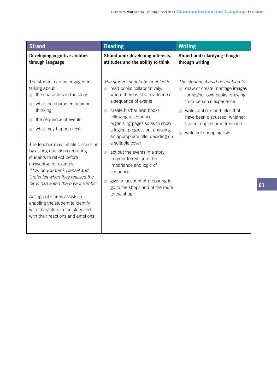| <b>Strand</b>                                                                                                                                                                                                                                                                                                                                                                                                                                                                                                                                                                  | <b>Reading</b>                                                                                                                                                                                                                                                                                                                                                                                                                                                                                             | <b>Writing</b>                                                                                                                                                                                                                                                  |
|--------------------------------------------------------------------------------------------------------------------------------------------------------------------------------------------------------------------------------------------------------------------------------------------------------------------------------------------------------------------------------------------------------------------------------------------------------------------------------------------------------------------------------------------------------------------------------|------------------------------------------------------------------------------------------------------------------------------------------------------------------------------------------------------------------------------------------------------------------------------------------------------------------------------------------------------------------------------------------------------------------------------------------------------------------------------------------------------------|-----------------------------------------------------------------------------------------------------------------------------------------------------------------------------------------------------------------------------------------------------------------|
| Developing cognitive abilities<br>through language                                                                                                                                                                                                                                                                                                                                                                                                                                                                                                                             | Strand unit: developing interests,<br>attitudes and the ability to think                                                                                                                                                                                                                                                                                                                                                                                                                                   | Strand unit: clarifying thought<br>through writing                                                                                                                                                                                                              |
| The student can be engaged in<br>talking about<br>the characters in the story<br>what the characters may be<br>$\Box$<br>thinking<br>the sequence of events<br>what may happen next.<br>The teacher may initiate discussion<br>by asking questions requiring<br>students to reflect before<br>answering, for example<br>'How do you think Hansel and<br>Gretel felt when they realised the<br>birds had eaten the breadcrumbs?'<br>Acting out stories assists in<br>enabling the student to identify<br>with characters in the story and<br>with their reactions and emotions. | The student should be enabled to<br>read books collaboratively,<br>where there is clear evidence of<br>a sequence of events<br>create his/her own books<br>following a sequence-<br>organising pages so as to show<br>a logical progression, choosing<br>an appropriate title, deciding on<br>a suitable cover<br>act out the events in a story<br>in order to reinforce the<br>importance and logic of<br>sequence<br>give an account of preparing to<br>go to the shops and of the route<br>to the shop. | The student should be enabled to<br>draw or create montage images<br>for his/her own books, drawing<br>from personal experience<br>write captions and titles that<br>have been discussed, whether<br>traced, copied or in freehand<br>write out shopping lists. |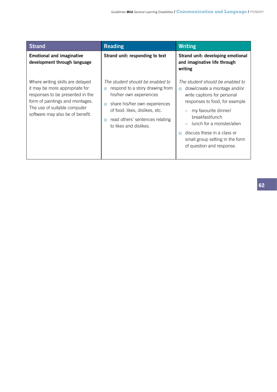| <b>Strand</b>                                                                                                                                                                                                 | <b>Reading</b>                                                                                                                                                                                                                 | <b>Writing</b>                                                                                                                                                                                                                                                                                           |
|---------------------------------------------------------------------------------------------------------------------------------------------------------------------------------------------------------------|--------------------------------------------------------------------------------------------------------------------------------------------------------------------------------------------------------------------------------|----------------------------------------------------------------------------------------------------------------------------------------------------------------------------------------------------------------------------------------------------------------------------------------------------------|
| <b>Emotional and imaginative</b><br>development through language                                                                                                                                              | Strand unit: responding to text                                                                                                                                                                                                | Strand unit: developing emotional<br>and imaginative life through<br>writing                                                                                                                                                                                                                             |
| Where writing skills are delayed<br>it may be more appropriate for<br>responses to be presented in the<br>form of paintings and montages.<br>The use of suitable computer<br>software may also be of benefit. | The student should be enabled to<br>respond to a story drawing from<br>his/her own experiences<br>share his/her own experiences<br>of food: likes, dislikes, etc.<br>read others' sentences relating<br>to likes and dislikes. | The student should be enabled to<br>draw/create a montage and/or<br>write captions for personal<br>responses to food, for example<br>my favourite dinner/<br>breakfast/lunch<br>lunch for a monster/alien<br>discuss these in a class or<br>small group setting in the form<br>of question and response. |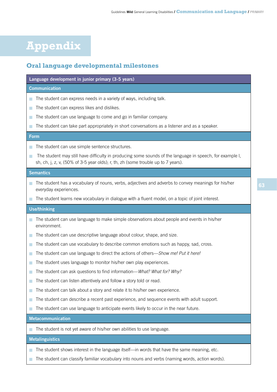# **Appendix**

# **Oral language developmental milestones**

### **Language development in junior primary (3-5 years)**

#### **Communication**

- $\blacksquare$  The student can express needs in a variety of ways, including talk.
- The student can express likes and dislikes.
- The student can use language to come and go in familiar company.
- $\blacksquare$  The student can take part appropriately in short conversations as a listener and as a speaker.

#### **Form**

- $\blacksquare$  The student can use simple sentence structures.
- The student may still have difficulty in producing some sounds of the language in speech, for example I, sh, ch, j, z, v, (50% of 3-5 year olds); r, th, zh (some trouble up to 7 years).

#### **Semantics**

- The student has a vocabulary of nouns, verbs, adjectives and adverbs to convey meanings for his/her everyday experiences.
- The student learns new vocabulary in dialogue with a fluent model, on a topic of joint interest.

#### **Use/thinking**

- The student can use language to make simple observations about people and events in his/her environment.
- The student can use descriptive language about colour, shape, and size.
- $\blacksquare$  The student can use vocabulary to describe common emotions such as happy, sad, cross.
- The student can use language to direct the actions of others—*Show me! Put it here.*
- The student uses language to monitor his/her own play experiences.
- The student can ask questions to find information—*What? What for? Why?*
- The student can listen attentively and follow a story told or read.
- The student can talk about a story and relate it to his/her own experience.
- The student can describe a recent past experience, and sequence events with adult support.
- $\blacksquare$  The student can use language to anticipate events likely to occur in the near future.

#### **Metacommunication**

n The student is not yet aware of his/her own abilities to use language.

### **Metalinguistics**

- The student shows interest in the language itself—in words that have the same meaning, etc.
- The student can classify familiar vocabulary into nouns and verbs (naming words, action words).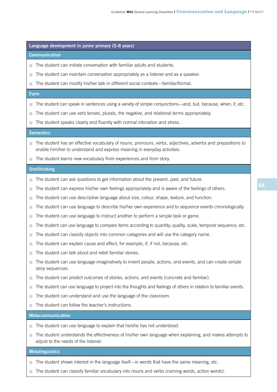#### **Language development in junior primary (5-8 years)**

#### **Communication**

- The student can initiate conversation with familiar adults and students.
- $\blacksquare$  The student can maintain conversation appropriately as a listener and as a speaker.
- The student can modify his/her talk in different social contexts—familiar/formal.

#### **Form**

- The student can speak in sentences using a variety of simple conjunctions—and, but, because, when, if, etc.
- The student can use verb tenses, plurals, the negative, and relational terms appropriately.
- The student speaks clearly and fluently with normal intonation and stress.

#### **Semantics**

- The student has an effective vocabulary of nouns, pronouns, verbs, adjectives, adverbs and prepositions to enable him/her to understand and express meaning in everyday activities.
- The student learns new vocabulary from experiences and from story.

#### **Use/thinking**

- The student can ask questions to get information about the present, past, and future.
- The student can express his/her own feelings appropriately and is aware of the feelings of others.
- The student can use descriptive language about size, colour, shape, texture, and function.
- The student can use language to describe his/her own experience and to sequence events chronologically.
- $\blacksquare$  The student can use language to instruct another to perform a simple task or game.
- The student can use language to compare items according to quantity, quality, scale, temporal sequence, etc.
- The student can classify objects into common categories and will use the category name.
- $\blacksquare$  The student can explain cause and effect, for example, if, if not, because, etc.
- The student can talk about and retell familiar stories.
- The student can use language imaginatively to invent people, actions, and events, and can create simple story sequences.
- The student can predict outcomes of stories, actions, and events (concrete and familiar).
- The student can use language to project into the thoughts and feelings of others in relation to familiar events.
- The student can understand and use the language of the classroom.
- The student can follow the teacher's instructions.

#### **Metacommunication**

- The student can use language to explain that he/she has not understood.
- The student understands the effectiveness of his/her own language when explaining, and makes attempts to adjust to the needs of the listener.

#### **Metalinguistics**

- The student shows interest in the language itself—in words that have the same meaning, etc.
- The student can classify familiar vocabulary into nouns and verbs (naming words, action words).